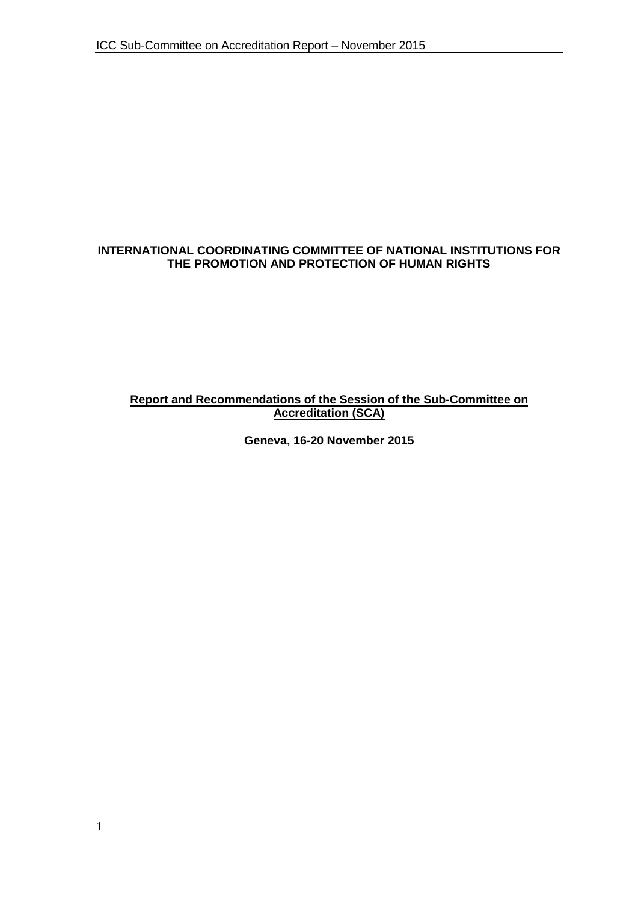### **INTERNATIONAL COORDINATING COMMITTEE OF NATIONAL INSTITUTIONS FOR THE PROMOTION AND PROTECTION OF HUMAN RIGHTS**

### **Report and Recommendations of the Session of the Sub-Committee on Accreditation (SCA)**

**Geneva, 16-20 November 2015**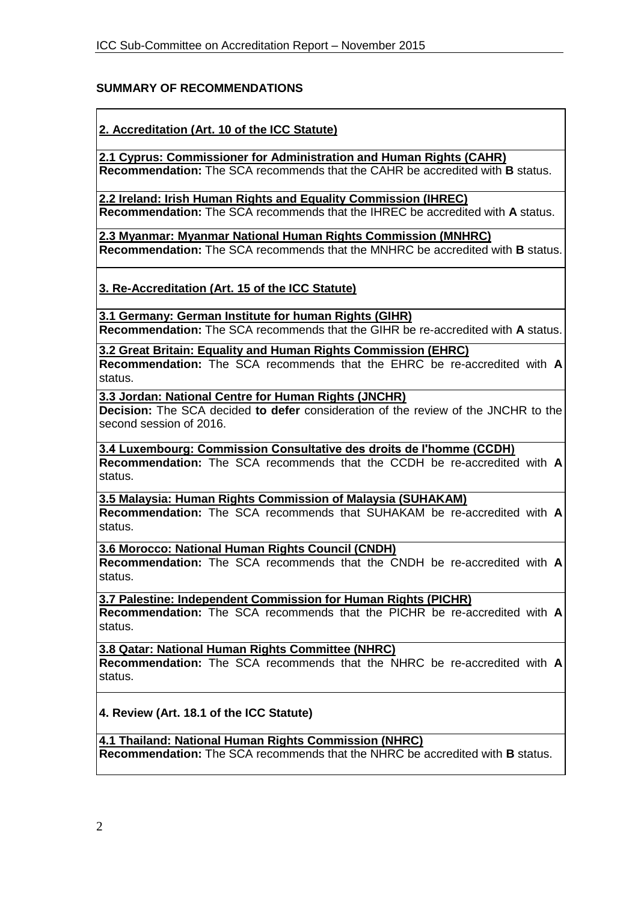## **SUMMARY OF RECOMMENDATIONS**

**2. Accreditation (Art. 10 of the ICC Statute)**

**2.1 Cyprus: Commissioner for Administration and Human Rights (CAHR) Recommendation:** The SCA recommends that the CAHR be accredited with **B** status.

**2.2 Ireland: Irish Human Rights and Equality Commission (IHREC) Recommendation:** The SCA recommends that the IHREC be accredited with **A** status.

**2.3 Myanmar: Myanmar National Human Rights Commission (MNHRC) Recommendation:** The SCA recommends that the MNHRC be accredited with **B** status.

**3. Re-Accreditation (Art. 15 of the ICC Statute)**

**3.1 Germany: German Institute for human Rights (GIHR) Recommendation:** The SCA recommends that the GIHR be re-accredited with **A** status.

**3.2 Great Britain: Equality and Human Rights Commission (EHRC) Recommendation:** The SCA recommends that the EHRC be re-accredited with **A** status.

**3.3 Jordan: National Centre for Human Rights (JNCHR)**

**Decision:** The SCA decided **to defer** consideration of the review of the JNCHR to the second session of 2016.

**3.4 Luxembourg: Commission Consultative des droits de lʹhomme (CCDH) Recommendation:** The SCA recommends that the CCDH be re-accredited with **A**

status. **3.5 Malaysia: Human Rights Commission of Malaysia (SUHAKAM)**

**Recommendation:** The SCA recommends that SUHAKAM be re-accredited with **A**  status.

**3.6 Morocco: National Human Rights Council (CNDH)**

**Recommendation:** The SCA recommends that the CNDH be re-accredited with **A** status.

**3.7 Palestine: Independent Commission for Human Rights (PICHR)**

**Recommendation:** The SCA recommends that the PICHR be re-accredited with **A** status.

**3.8 Qatar: National Human Rights Committee (NHRC) Recommendation:** The SCA recommends that the NHRC be re-accredited with **A** status.

**4. Review (Art. 18.1 of the ICC Statute)**

**4.1 Thailand: National Human Rights Commission (NHRC) Recommendation:** The SCA recommends that the NHRC be accredited with **B** status.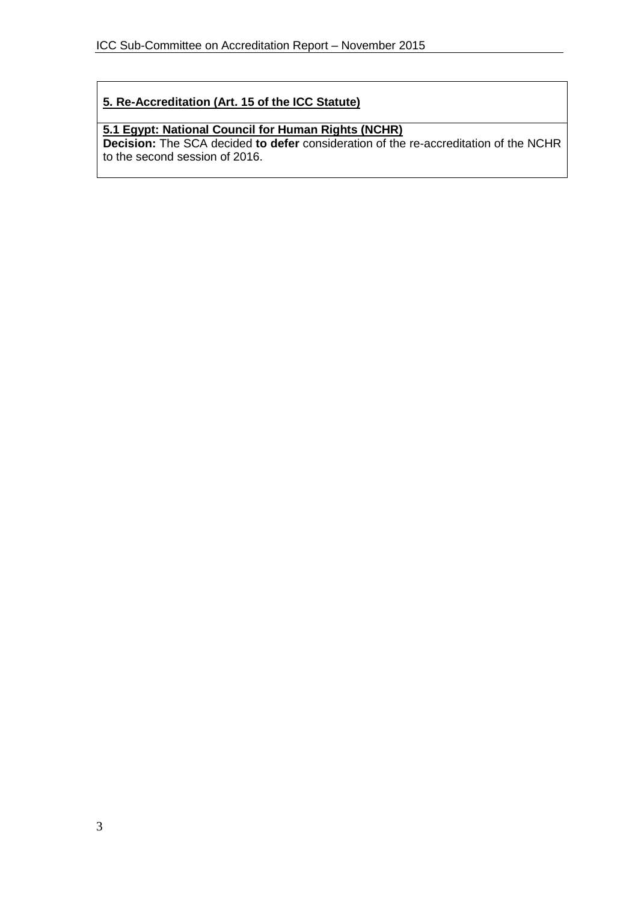# **5. Re-Accreditation (Art. 15 of the ICC Statute)**

# **5.1 Egypt: National Council for Human Rights (NCHR)**

**Decision:** The SCA decided **to defer** consideration of the re-accreditation of the NCHR to the second session of 2016.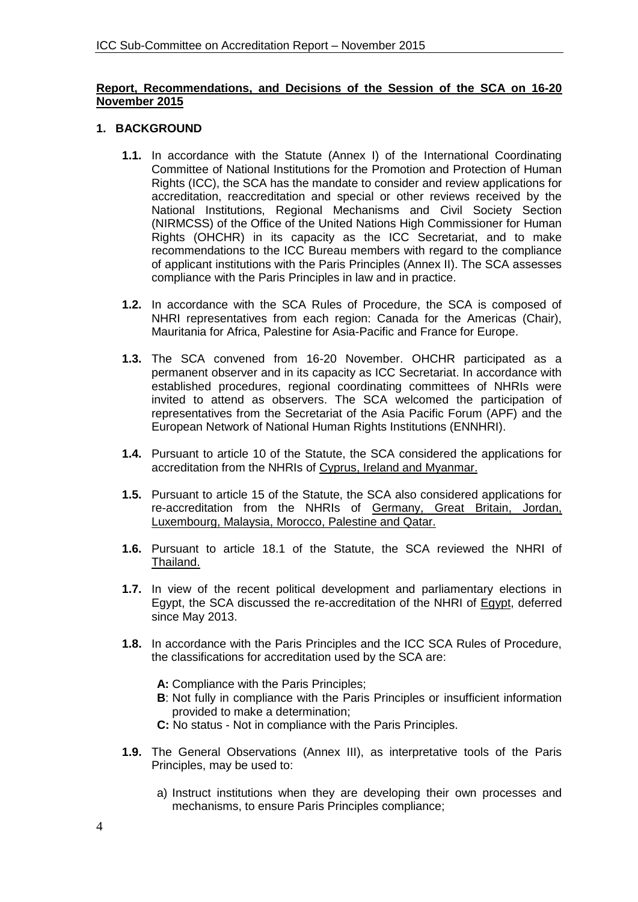#### **Report, Recommendations, and Decisions of the Session of the SCA on 16-20 November 2015**

### **1. BACKGROUND**

- **1.1.** In accordance with the Statute (Annex I) of the International Coordinating Committee of National Institutions for the Promotion and Protection of Human Rights (ICC), the SCA has the mandate to consider and review applications for accreditation, reaccreditation and special or other reviews received by the National Institutions, Regional Mechanisms and Civil Society Section (NIRMCSS) of the Office of the United Nations High Commissioner for Human Rights (OHCHR) in its capacity as the ICC Secretariat, and to make recommendations to the ICC Bureau members with regard to the compliance of applicant institutions with the Paris Principles (Annex II). The SCA assesses compliance with the Paris Principles in law and in practice.
- **1.2.** In accordance with the SCA Rules of Procedure, the SCA is composed of NHRI representatives from each region: Canada for the Americas (Chair), Mauritania for Africa, Palestine for Asia-Pacific and France for Europe.
- **1.3.** The SCA convened from 16-20 November. OHCHR participated as a permanent observer and in its capacity as ICC Secretariat. In accordance with established procedures, regional coordinating committees of NHRIs were invited to attend as observers. The SCA welcomed the participation of representatives from the Secretariat of the Asia Pacific Forum (APF) and the European Network of National Human Rights Institutions (ENNHRI).
- **1.4.** Pursuant to article 10 of the Statute, the SCA considered the applications for accreditation from the NHRIs of Cyprus, Ireland and Myanmar.
- **1.5.** Pursuant to article 15 of the Statute, the SCA also considered applications for re-accreditation from the NHRIs of Germany, Great Britain, Jordan, Luxembourg, Malaysia, Morocco, Palestine and Qatar.
- **1.6.** Pursuant to article 18.1 of the Statute, the SCA reviewed the NHRI of Thailand.
- **1.7.** In view of the recent political development and parliamentary elections in Egypt, the SCA discussed the re-accreditation of the NHRI of Egypt, deferred since May 2013.
- **1.8.** In accordance with the Paris Principles and the ICC SCA Rules of Procedure, the classifications for accreditation used by the SCA are:
	- **A:** Compliance with the Paris Principles;
	- **B**: Not fully in compliance with the Paris Principles or insufficient information provided to make a determination;
	- **C:** No status Not in compliance with the Paris Principles.
- **1.9.** The General Observations (Annex III), as interpretative tools of the Paris Principles, may be used to:
	- a) Instruct institutions when they are developing their own processes and mechanisms, to ensure Paris Principles compliance;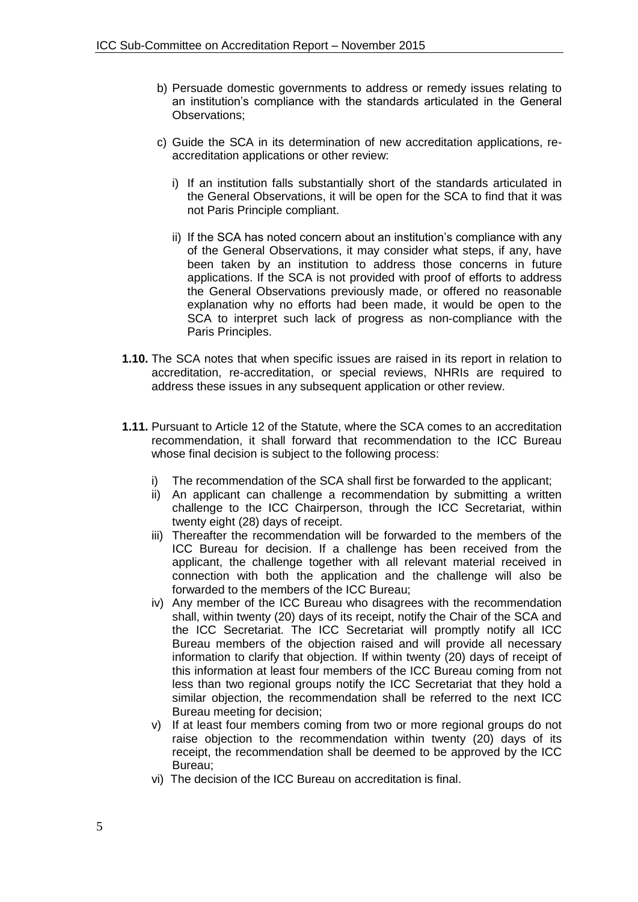- b) Persuade domestic governments to address or remedy issues relating to an institution's compliance with the standards articulated in the General Observations;
- c) Guide the SCA in its determination of new accreditation applications, reaccreditation applications or other review:
	- i) If an institution falls substantially short of the standards articulated in the General Observations, it will be open for the SCA to find that it was not Paris Principle compliant.
	- ii) If the SCA has noted concern about an institution's compliance with any of the General Observations, it may consider what steps, if any, have been taken by an institution to address those concerns in future applications. If the SCA is not provided with proof of efforts to address the General Observations previously made, or offered no reasonable explanation why no efforts had been made, it would be open to the SCA to interpret such lack of progress as non-compliance with the Paris Principles.
- **1.10.** The SCA notes that when specific issues are raised in its report in relation to accreditation, re-accreditation, or special reviews, NHRIs are required to address these issues in any subsequent application or other review.
- **1.11.** Pursuant to Article 12 of the Statute, where the SCA comes to an accreditation recommendation, it shall forward that recommendation to the ICC Bureau whose final decision is subject to the following process:
	- The recommendation of the SCA shall first be forwarded to the applicant;
	- ii) An applicant can challenge a recommendation by submitting a written challenge to the ICC Chairperson, through the ICC Secretariat, within twenty eight (28) days of receipt.
	- iii) Thereafter the recommendation will be forwarded to the members of the ICC Bureau for decision. If a challenge has been received from the applicant, the challenge together with all relevant material received in connection with both the application and the challenge will also be forwarded to the members of the ICC Bureau;
	- iv) Any member of the ICC Bureau who disagrees with the recommendation shall, within twenty (20) days of its receipt, notify the Chair of the SCA and the ICC Secretariat. The ICC Secretariat will promptly notify all ICC Bureau members of the objection raised and will provide all necessary information to clarify that objection. If within twenty (20) days of receipt of this information at least four members of the ICC Bureau coming from not less than two regional groups notify the ICC Secretariat that they hold a similar objection, the recommendation shall be referred to the next ICC Bureau meeting for decision;
	- v) If at least four members coming from two or more regional groups do not raise objection to the recommendation within twenty (20) days of its receipt, the recommendation shall be deemed to be approved by the ICC Bureau;
	- vi) The decision of the ICC Bureau on accreditation is final.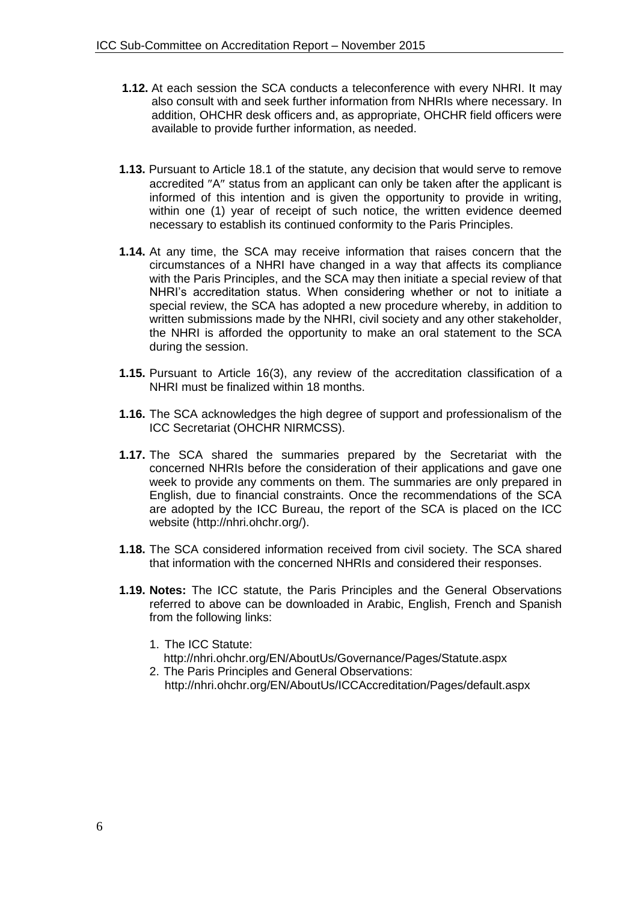- **1.12.** At each session the SCA conducts a teleconference with every NHRI. It may also consult with and seek further information from NHRIs where necessary. In addition, OHCHR desk officers and, as appropriate, OHCHR field officers were available to provide further information, as needed.
- **1.13.** Pursuant to Article 18.1 of the statute, any decision that would serve to remove accredited "A" status from an applicant can only be taken after the applicant is informed of this intention and is given the opportunity to provide in writing, within one (1) year of receipt of such notice, the written evidence deemed necessary to establish its continued conformity to the Paris Principles.
- **1.14.** At any time, the SCA may receive information that raises concern that the circumstances of a NHRI have changed in a way that affects its compliance with the Paris Principles, and the SCA may then initiate a special review of that NHRI's accreditation status. When considering whether or not to initiate a special review, the SCA has adopted a new procedure whereby, in addition to written submissions made by the NHRI, civil society and any other stakeholder, the NHRI is afforded the opportunity to make an oral statement to the SCA during the session.
- **1.15.** Pursuant to Article 16(3), any review of the accreditation classification of a NHRI must be finalized within 18 months.
- **1.16.** The SCA acknowledges the high degree of support and professionalism of the ICC Secretariat (OHCHR NIRMCSS).
- **1.17.** The SCA shared the summaries prepared by the Secretariat with the concerned NHRIs before the consideration of their applications and gave one week to provide any comments on them. The summaries are only prepared in English, due to financial constraints. Once the recommendations of the SCA are adopted by the ICC Bureau, the report of the SCA is placed on the ICC website [\(http://nhri.ohchr.org/\)](http://nhri.ohchr.org/).
- **1.18.** The SCA considered information received from civil society. The SCA shared that information with the concerned NHRIs and considered their responses.
- **1.19. Notes:** The ICC statute, the Paris Principles and the General Observations referred to above can be downloaded in Arabic, English, French and Spanish from the following links:
	- 1. The ICC Statute:
	- <http://nhri.ohchr.org/EN/AboutUs/Governance/Pages/Statute.aspx>
	- 2. The Paris Principles and General Observations: <http://nhri.ohchr.org/EN/AboutUs/ICCAccreditation/Pages/default.aspx>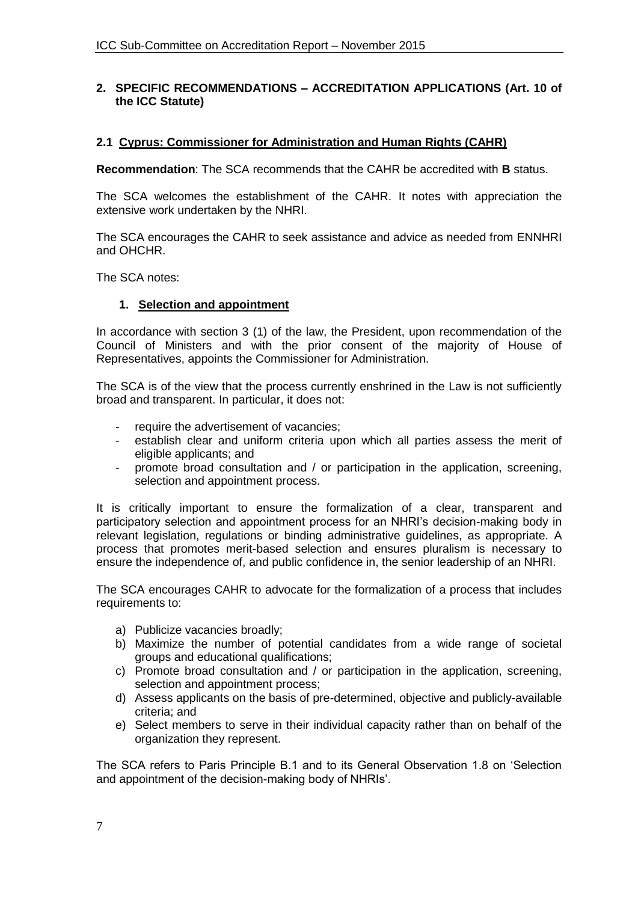#### **2. SPECIFIC RECOMMENDATIONS – ACCREDITATION APPLICATIONS (Art. 10 of the ICC Statute)**

#### **2.1 Cyprus: Commissioner for Administration and Human Rights (CAHR)**

**Recommendation**: The SCA recommends that the CAHR be accredited with **B** status.

The SCA welcomes the establishment of the CAHR. It notes with appreciation the extensive work undertaken by the NHRI.

The SCA encourages the CAHR to seek assistance and advice as needed from ENNHRI and OHCHR.

The SCA notes:

#### **1. Selection and appointment**

In accordance with section 3 (1) of the law, the President, upon recommendation of the Council of Ministers and with the prior consent of the majority of House of Representatives, appoints the Commissioner for Administration.

The SCA is of the view that the process currently enshrined in the Law is not sufficiently broad and transparent. In particular, it does not:

- require the advertisement of vacancies;
- establish clear and uniform criteria upon which all parties assess the merit of eligible applicants; and
- promote broad consultation and / or participation in the application, screening, selection and appointment process.

It is critically important to ensure the formalization of a clear, transparent and participatory selection and appointment process for an NHRI's decision-making body in relevant legislation, regulations or binding administrative guidelines, as appropriate. A process that promotes merit-based selection and ensures pluralism is necessary to ensure the independence of, and public confidence in, the senior leadership of an NHRI.

The SCA encourages CAHR to advocate for the formalization of a process that includes requirements to:

- a) Publicize vacancies broadly;
- b) Maximize the number of potential candidates from a wide range of societal groups and educational qualifications;
- c) Promote broad consultation and / or participation in the application, screening, selection and appointment process;
- d) Assess applicants on the basis of pre-determined, objective and publicly-available criteria; and
- e) Select members to serve in their individual capacity rather than on behalf of the organization they represent.

The SCA refers to Paris Principle B.1 and to its General Observation 1.8 on 'Selection and appointment of the decision-making body of NHRIs'.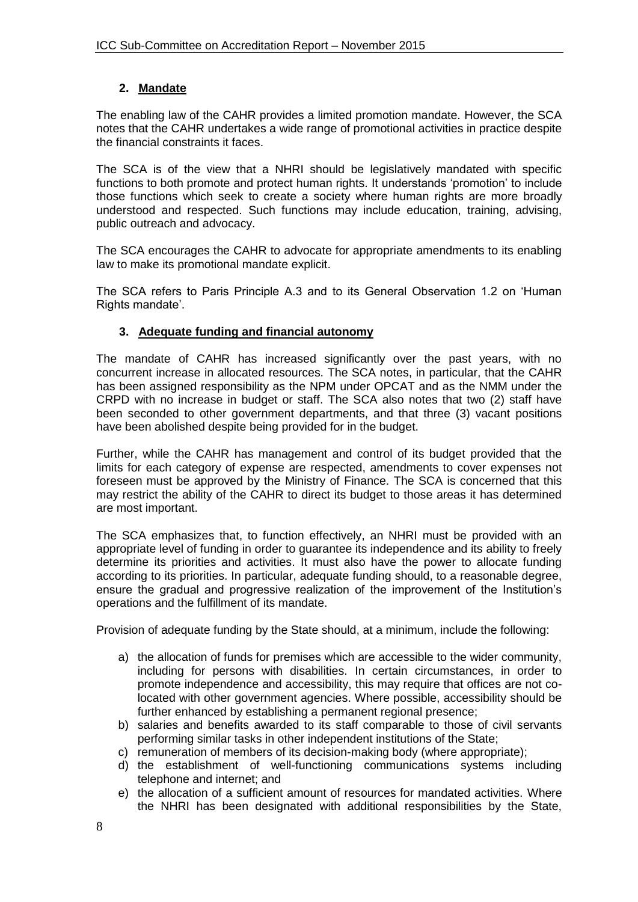## **2. Mandate**

The enabling law of the CAHR provides a limited promotion mandate. However, the SCA notes that the CAHR undertakes a wide range of promotional activities in practice despite the financial constraints it faces.

The SCA is of the view that a NHRI should be legislatively mandated with specific functions to both promote and protect human rights. It understands 'promotion' to include those functions which seek to create a society where human rights are more broadly understood and respected. Such functions may include education, training, advising, public outreach and advocacy.

The SCA encourages the CAHR to advocate for appropriate amendments to its enabling law to make its promotional mandate explicit.

The SCA refers to Paris Principle A.3 and to its General Observation 1.2 on 'Human Rights mandate'.

## **3. Adequate funding and financial autonomy**

The mandate of CAHR has increased significantly over the past years, with no concurrent increase in allocated resources. The SCA notes, in particular, that the CAHR has been assigned responsibility as the NPM under OPCAT and as the NMM under the CRPD with no increase in budget or staff. The SCA also notes that two (2) staff have been seconded to other government departments, and that three (3) vacant positions have been abolished despite being provided for in the budget.

Further, while the CAHR has management and control of its budget provided that the limits for each category of expense are respected, amendments to cover expenses not foreseen must be approved by the Ministry of Finance. The SCA is concerned that this may restrict the ability of the CAHR to direct its budget to those areas it has determined are most important.

The SCA emphasizes that, to function effectively, an NHRI must be provided with an appropriate level of funding in order to guarantee its independence and its ability to freely determine its priorities and activities. It must also have the power to allocate funding according to its priorities. In particular, adequate funding should, to a reasonable degree, ensure the gradual and progressive realization of the improvement of the Institution's operations and the fulfillment of its mandate.

Provision of adequate funding by the State should, at a minimum, include the following:

- a) the allocation of funds for premises which are accessible to the wider community, including for persons with disabilities. In certain circumstances, in order to promote independence and accessibility, this may require that offices are not colocated with other government agencies. Where possible, accessibility should be further enhanced by establishing a permanent regional presence;
- b) salaries and benefits awarded to its staff comparable to those of civil servants performing similar tasks in other independent institutions of the State;
- c) remuneration of members of its decision-making body (where appropriate);
- d) the establishment of well-functioning communications systems including telephone and internet; and
- e) the allocation of a sufficient amount of resources for mandated activities. Where the NHRI has been designated with additional responsibilities by the State,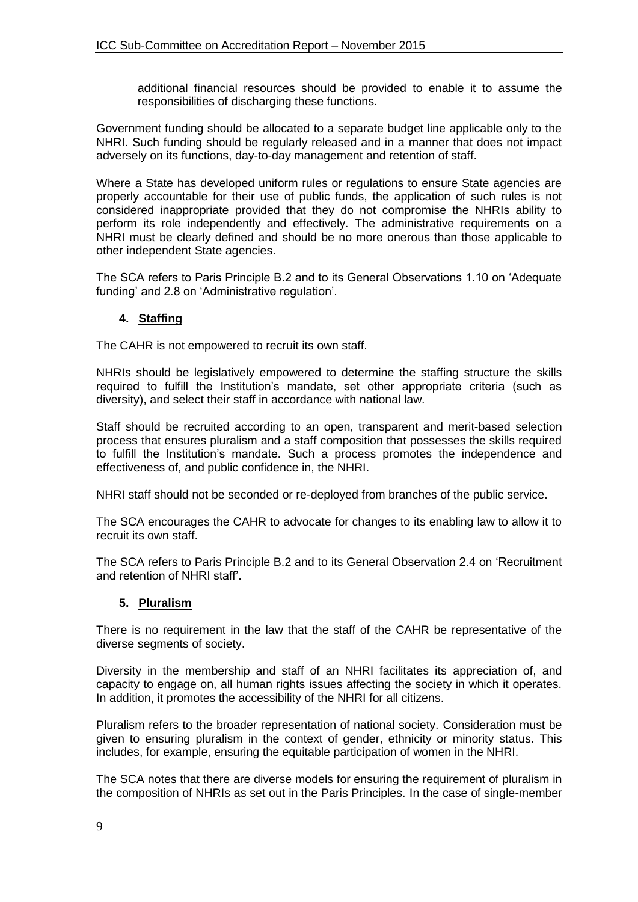additional financial resources should be provided to enable it to assume the responsibilities of discharging these functions.

Government funding should be allocated to a separate budget line applicable only to the NHRI. Such funding should be regularly released and in a manner that does not impact adversely on its functions, day-to-day management and retention of staff.

Where a State has developed uniform rules or regulations to ensure State agencies are properly accountable for their use of public funds, the application of such rules is not considered inappropriate provided that they do not compromise the NHRIs ability to perform its role independently and effectively. The administrative requirements on a NHRI must be clearly defined and should be no more onerous than those applicable to other independent State agencies.

The SCA refers to Paris Principle B.2 and to its General Observations 1.10 on 'Adequate funding' and 2.8 on 'Administrative regulation'.

## **4. Staffing**

The CAHR is not empowered to recruit its own staff.

NHRIs should be legislatively empowered to determine the staffing structure the skills required to fulfill the Institution's mandate, set other appropriate criteria (such as diversity), and select their staff in accordance with national law.

Staff should be recruited according to an open, transparent and merit-based selection process that ensures pluralism and a staff composition that possesses the skills required to fulfill the Institution's mandate. Such a process promotes the independence and effectiveness of, and public confidence in, the NHRI.

NHRI staff should not be seconded or re-deployed from branches of the public service.

The SCA encourages the CAHR to advocate for changes to its enabling law to allow it to recruit its own staff.

The SCA refers to Paris Principle B.2 and to its General Observation 2.4 on 'Recruitment and retention of NHRI staff'.

#### **5. Pluralism**

There is no requirement in the law that the staff of the CAHR be representative of the diverse segments of society.

Diversity in the membership and staff of an NHRI facilitates its appreciation of, and capacity to engage on, all human rights issues affecting the society in which it operates. In addition, it promotes the accessibility of the NHRI for all citizens.

Pluralism refers to the broader representation of national society. Consideration must be given to ensuring pluralism in the context of gender, ethnicity or minority status. This includes, for example, ensuring the equitable participation of women in the NHRI.

The SCA notes that there are diverse models for ensuring the requirement of pluralism in the composition of NHRIs as set out in the Paris Principles. In the case of single-member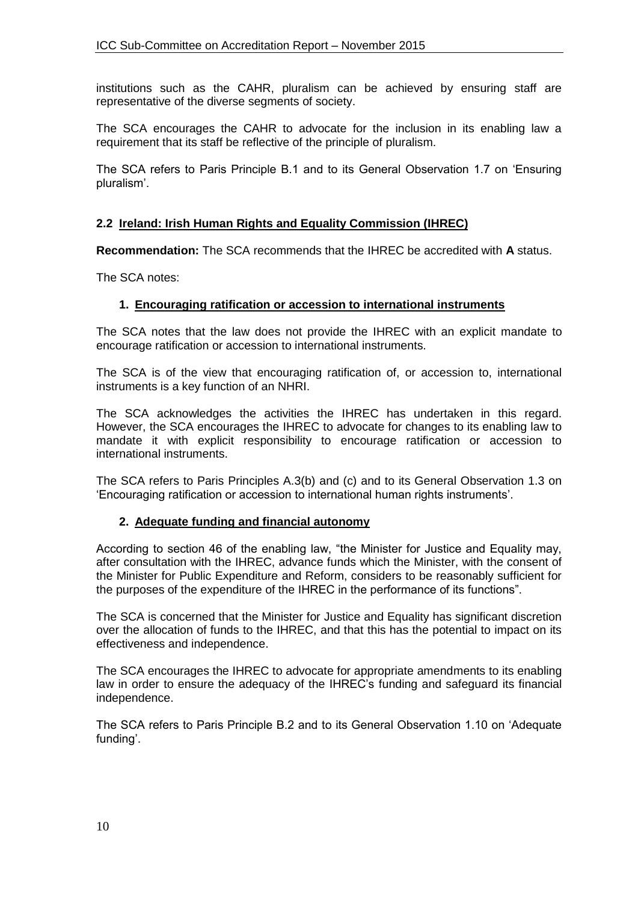institutions such as the CAHR, pluralism can be achieved by ensuring staff are representative of the diverse segments of society.

The SCA encourages the CAHR to advocate for the inclusion in its enabling law a requirement that its staff be reflective of the principle of pluralism.

The SCA refers to Paris Principle B.1 and to its General Observation 1.7 on 'Ensuring pluralism'.

### **2.2 Ireland: Irish Human Rights and Equality Commission (IHREC)**

**Recommendation:** The SCA recommends that the IHREC be accredited with **A** status.

The SCA notes:

#### **1. Encouraging ratification or accession to international instruments**

The SCA notes that the law does not provide the IHREC with an explicit mandate to encourage ratification or accession to international instruments.

The SCA is of the view that encouraging ratification of, or accession to, international instruments is a key function of an NHRI.

The SCA acknowledges the activities the IHREC has undertaken in this regard. However, the SCA encourages the IHREC to advocate for changes to its enabling law to mandate it with explicit responsibility to encourage ratification or accession to international instruments.

The SCA refers to Paris Principles A.3(b) and (c) and to its General Observation 1.3 on 'Encouraging ratification or accession to international human rights instruments'.

#### **2. Adequate funding and financial autonomy**

According to section 46 of the enabling law, "the Minister for Justice and Equality may, after consultation with the IHREC, advance funds which the Minister, with the consent of the Minister for Public Expenditure and Reform, considers to be reasonably sufficient for the purposes of the expenditure of the IHREC in the performance of its functions".

The SCA is concerned that the Minister for Justice and Equality has significant discretion over the allocation of funds to the IHREC, and that this has the potential to impact on its effectiveness and independence.

The SCA encourages the IHREC to advocate for appropriate amendments to its enabling law in order to ensure the adequacy of the IHREC's funding and safeguard its financial independence.

The SCA refers to Paris Principle B.2 and to its General Observation 1.10 on 'Adequate funding'.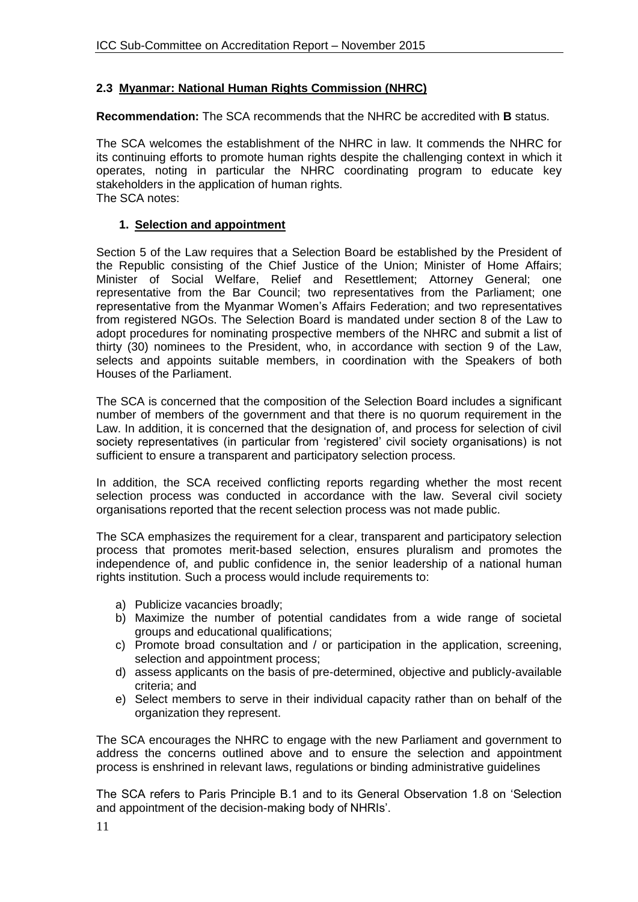## **2.3 Myanmar: National Human Rights Commission (NHRC)**

**Recommendation:** The SCA recommends that the NHRC be accredited with **B** status.

The SCA welcomes the establishment of the NHRC in law. It commends the NHRC for its continuing efforts to promote human rights despite the challenging context in which it operates, noting in particular the NHRC coordinating program to educate key stakeholders in the application of human rights. The SCA notes:

#### **1. Selection and appointment**

Section 5 of the Law requires that a Selection Board be established by the President of the Republic consisting of the Chief Justice of the Union; Minister of Home Affairs; Minister of Social Welfare, Relief and Resettlement; Attorney General; one representative from the Bar Council; two representatives from the Parliament; one representative from the Myanmar Women's Affairs Federation; and two representatives from registered NGOs. The Selection Board is mandated under section 8 of the Law to adopt procedures for nominating prospective members of the NHRC and submit a list of thirty (30) nominees to the President, who, in accordance with section 9 of the Law, selects and appoints suitable members, in coordination with the Speakers of both Houses of the Parliament.

The SCA is concerned that the composition of the Selection Board includes a significant number of members of the government and that there is no quorum requirement in the Law. In addition, it is concerned that the designation of, and process for selection of civil society representatives (in particular from 'registered' civil society organisations) is not sufficient to ensure a transparent and participatory selection process.

In addition, the SCA received conflicting reports regarding whether the most recent selection process was conducted in accordance with the law. Several civil society organisations reported that the recent selection process was not made public.

The SCA emphasizes the requirement for a clear, transparent and participatory selection process that promotes merit-based selection, ensures pluralism and promotes the independence of, and public confidence in, the senior leadership of a national human rights institution. Such a process would include requirements to:

- a) Publicize vacancies broadly;
- b) Maximize the number of potential candidates from a wide range of societal groups and educational qualifications;
- c) Promote broad consultation and / or participation in the application, screening, selection and appointment process;
- d) assess applicants on the basis of pre-determined, objective and publicly-available criteria; and
- e) Select members to serve in their individual capacity rather than on behalf of the organization they represent.

The SCA encourages the NHRC to engage with the new Parliament and government to address the concerns outlined above and to ensure the selection and appointment process is enshrined in relevant laws, regulations or binding administrative guidelines

The SCA refers to Paris Principle B.1 and to its General Observation 1.8 on 'Selection and appointment of the decision-making body of NHRIs'.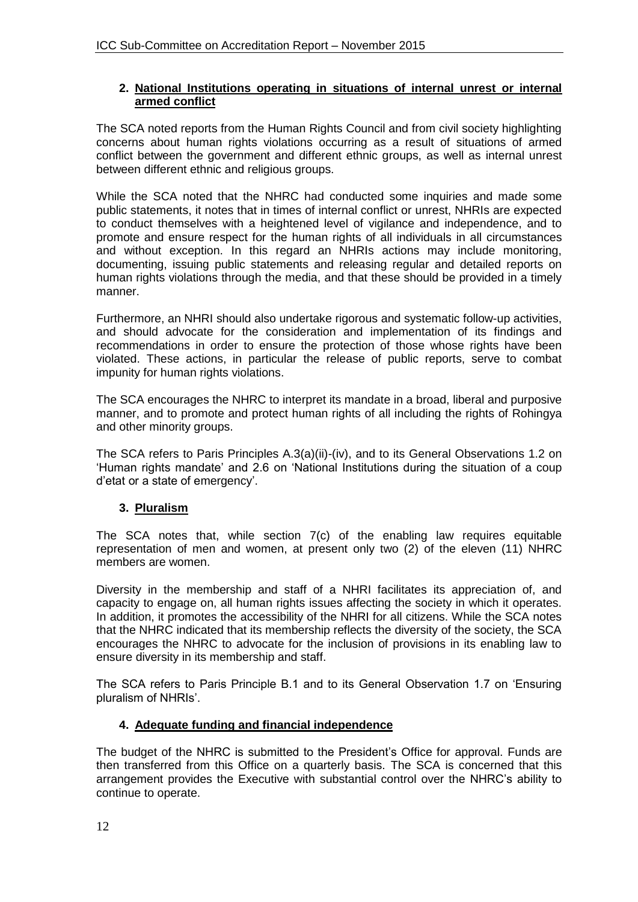#### **2. National Institutions operating in situations of internal unrest or internal armed conflict**

The SCA noted reports from the Human Rights Council and from civil society highlighting concerns about human rights violations occurring as a result of situations of armed conflict between the government and different ethnic groups, as well as internal unrest between different ethnic and religious groups.

While the SCA noted that the NHRC had conducted some inquiries and made some public statements, it notes that in times of internal conflict or unrest, NHRIs are expected to conduct themselves with a heightened level of vigilance and independence, and to promote and ensure respect for the human rights of all individuals in all circumstances and without exception. In this regard an NHRIs actions may include monitoring, documenting, issuing public statements and releasing regular and detailed reports on human rights violations through the media, and that these should be provided in a timely manner.

Furthermore, an NHRI should also undertake rigorous and systematic follow-up activities, and should advocate for the consideration and implementation of its findings and recommendations in order to ensure the protection of those whose rights have been violated. These actions, in particular the release of public reports, serve to combat impunity for human rights violations.

The SCA encourages the NHRC to interpret its mandate in a broad, liberal and purposive manner, and to promote and protect human rights of all including the rights of Rohingya and other minority groups.

The SCA refers to Paris Principles A.3(a)(ii)-(iv), and to its General Observations 1.2 on 'Human rights mandate' and 2.6 on 'National Institutions during the situation of a coup d'etat or a state of emergency'.

## **3. Pluralism**

The SCA notes that, while section 7(c) of the enabling law requires equitable representation of men and women, at present only two (2) of the eleven (11) NHRC members are women.

Diversity in the membership and staff of a NHRI facilitates its appreciation of, and capacity to engage on, all human rights issues affecting the society in which it operates. In addition, it promotes the accessibility of the NHRI for all citizens. While the SCA notes that the NHRC indicated that its membership reflects the diversity of the society, the SCA encourages the NHRC to advocate for the inclusion of provisions in its enabling law to ensure diversity in its membership and staff.

The SCA refers to Paris Principle B.1 and to its General Observation 1.7 on 'Ensuring pluralism of NHRIs'.

## **4. Adequate funding and financial independence**

The budget of the NHRC is submitted to the President's Office for approval. Funds are then transferred from this Office on a quarterly basis. The SCA is concerned that this arrangement provides the Executive with substantial control over the NHRC's ability to continue to operate.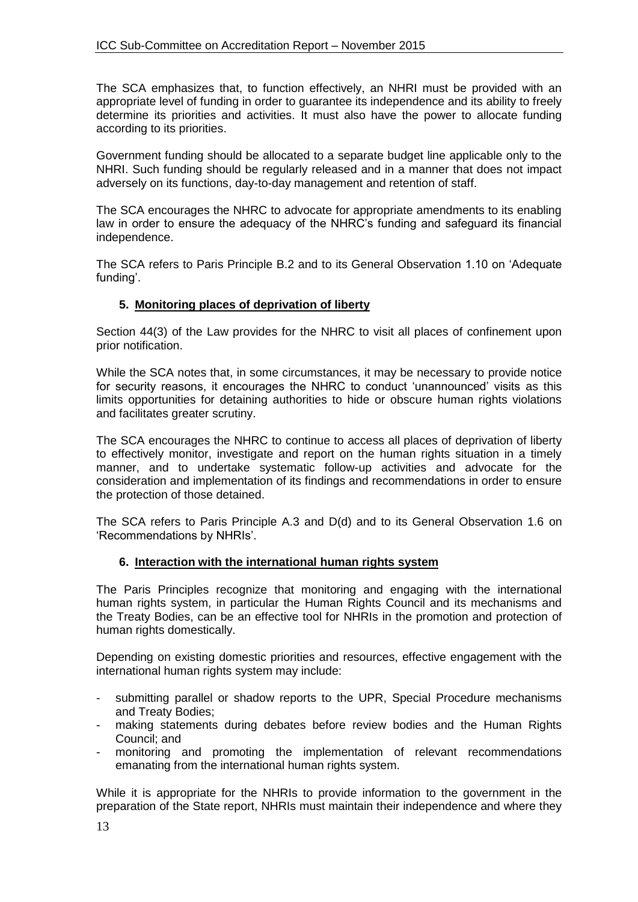The SCA emphasizes that, to function effectively, an NHRI must be provided with an appropriate level of funding in order to guarantee its independence and its ability to freely determine its priorities and activities. It must also have the power to allocate funding according to its priorities.

Government funding should be allocated to a separate budget line applicable only to the NHRI. Such funding should be regularly released and in a manner that does not impact adversely on its functions, day-to-day management and retention of staff.

The SCA encourages the NHRC to advocate for appropriate amendments to its enabling law in order to ensure the adequacy of the NHRC's funding and safeguard its financial independence.

The SCA refers to Paris Principle B.2 and to its General Observation 1.10 on 'Adequate funding'.

## **5. Monitoring places of deprivation of liberty**

Section 44(3) of the Law provides for the NHRC to visit all places of confinement upon prior notification.

While the SCA notes that, in some circumstances, it may be necessary to provide notice for security reasons, it encourages the NHRC to conduct 'unannounced' visits as this limits opportunities for detaining authorities to hide or obscure human rights violations and facilitates greater scrutiny.

The SCA encourages the NHRC to continue to access all places of deprivation of liberty to effectively monitor, investigate and report on the human rights situation in a timely manner, and to undertake systematic follow-up activities and advocate for the consideration and implementation of its findings and recommendations in order to ensure the protection of those detained.

The SCA refers to Paris Principle A.3 and D(d) and to its General Observation 1.6 on 'Recommendations by NHRIs'.

#### **6. Interaction with the international human rights system**

The Paris Principles recognize that monitoring and engaging with the international human rights system, in particular the Human Rights Council and its mechanisms and the Treaty Bodies, can be an effective tool for NHRIs in the promotion and protection of human rights domestically.

Depending on existing domestic priorities and resources, effective engagement with the international human rights system may include:

- submitting parallel or shadow reports to the UPR, Special Procedure mechanisms and Treaty Bodies;
- making statements during debates before review bodies and the Human Rights Council; and
- monitoring and promoting the implementation of relevant recommendations emanating from the international human rights system.

While it is appropriate for the NHRIs to provide information to the government in the preparation of the State report, NHRIs must maintain their independence and where they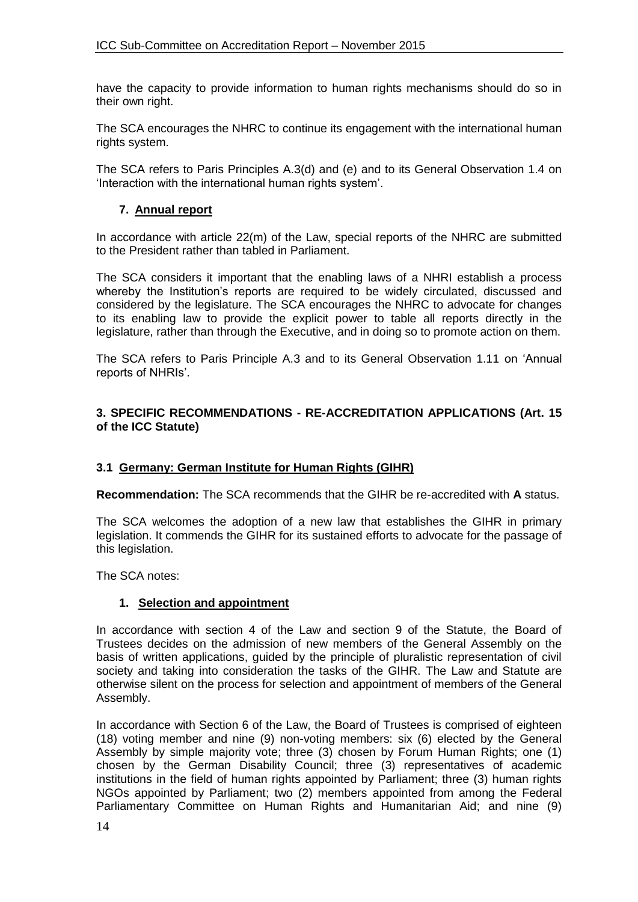have the capacity to provide information to human rights mechanisms should do so in their own right.

The SCA encourages the NHRC to continue its engagement with the international human rights system.

The SCA refers to Paris Principles A.3(d) and (e) and to its General Observation 1.4 on 'Interaction with the international human rights system'.

### **7. Annual report**

In accordance with article 22(m) of the Law, special reports of the NHRC are submitted to the President rather than tabled in Parliament.

The SCA considers it important that the enabling laws of a NHRI establish a process whereby the Institution's reports are required to be widely circulated, discussed and considered by the legislature. The SCA encourages the NHRC to advocate for changes to its enabling law to provide the explicit power to table all reports directly in the legislature, rather than through the Executive, and in doing so to promote action on them.

The SCA refers to Paris Principle A.3 and to its General Observation 1.11 on 'Annual reports of NHRIs'.

#### **3. SPECIFIC RECOMMENDATIONS - RE-ACCREDITATION APPLICATIONS (Art. 15 of the ICC Statute)**

#### **3.1 Germany: German Institute for Human Rights (GIHR)**

**Recommendation:** The SCA recommends that the GIHR be re-accredited with **A** status.

The SCA welcomes the adoption of a new law that establishes the GIHR in primary legislation. It commends the GIHR for its sustained efforts to advocate for the passage of this legislation.

The SCA notes:

#### **1. Selection and appointment**

In accordance with section 4 of the Law and section 9 of the Statute, the Board of Trustees decides on the admission of new members of the General Assembly on the basis of written applications, guided by the principle of pluralistic representation of civil society and taking into consideration the tasks of the GIHR. The Law and Statute are otherwise silent on the process for selection and appointment of members of the General Assembly.

In accordance with Section 6 of the Law, the Board of Trustees is comprised of eighteen (18) voting member and nine (9) non-voting members: six (6) elected by the General Assembly by simple majority vote; three (3) chosen by Forum Human Rights; one (1) chosen by the German Disability Council; three (3) representatives of academic institutions in the field of human rights appointed by Parliament; three (3) human rights NGOs appointed by Parliament; two (2) members appointed from among the Federal Parliamentary Committee on Human Rights and Humanitarian Aid; and nine (9)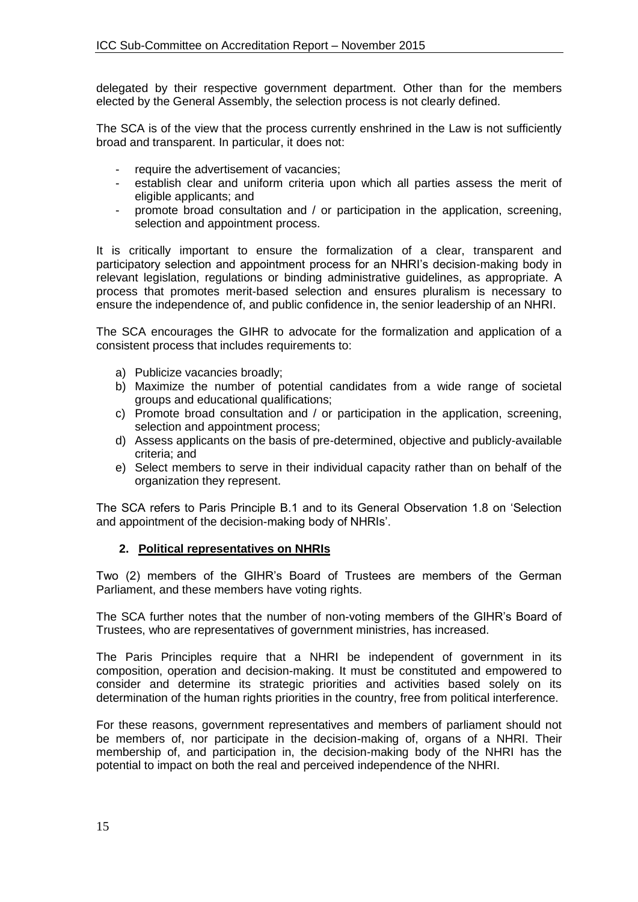delegated by their respective government department. Other than for the members elected by the General Assembly, the selection process is not clearly defined.

The SCA is of the view that the process currently enshrined in the Law is not sufficiently broad and transparent. In particular, it does not:

- require the advertisement of vacancies;
- establish clear and uniform criteria upon which all parties assess the merit of eligible applicants; and
- promote broad consultation and / or participation in the application, screening, selection and appointment process.

It is critically important to ensure the formalization of a clear, transparent and participatory selection and appointment process for an NHRI's decision-making body in relevant legislation, regulations or binding administrative guidelines, as appropriate. A process that promotes merit-based selection and ensures pluralism is necessary to ensure the independence of, and public confidence in, the senior leadership of an NHRI.

The SCA encourages the GIHR to advocate for the formalization and application of a consistent process that includes requirements to:

- a) Publicize vacancies broadly;
- b) Maximize the number of potential candidates from a wide range of societal groups and educational qualifications;
- c) Promote broad consultation and / or participation in the application, screening, selection and appointment process;
- d) Assess applicants on the basis of pre-determined, objective and publicly-available criteria; and
- e) Select members to serve in their individual capacity rather than on behalf of the organization they represent.

The SCA refers to Paris Principle B.1 and to its General Observation 1.8 on 'Selection and appointment of the decision-making body of NHRIs'.

## **2. Political representatives on NHRIs**

Two (2) members of the GIHR's Board of Trustees are members of the German Parliament, and these members have voting rights.

The SCA further notes that the number of non-voting members of the GIHR's Board of Trustees, who are representatives of government ministries, has increased.

The Paris Principles require that a NHRI be independent of government in its composition, operation and decision-making. It must be constituted and empowered to consider and determine its strategic priorities and activities based solely on its determination of the human rights priorities in the country, free from political interference.

For these reasons, government representatives and members of parliament should not be members of, nor participate in the decision-making of, organs of a NHRI. Their membership of, and participation in, the decision-making body of the NHRI has the potential to impact on both the real and perceived independence of the NHRI.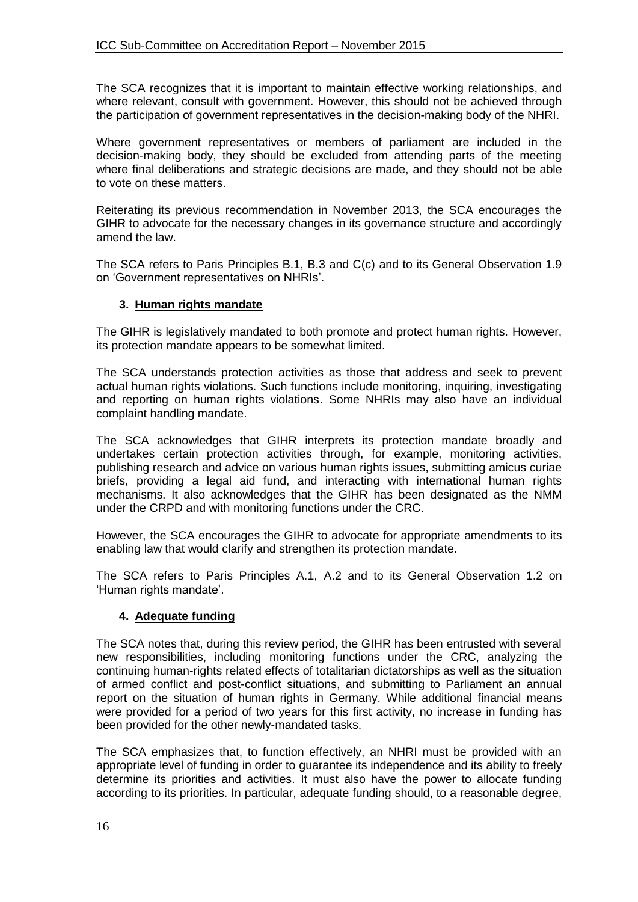The SCA recognizes that it is important to maintain effective working relationships, and where relevant, consult with government. However, this should not be achieved through the participation of government representatives in the decision-making body of the NHRI.

Where government representatives or members of parliament are included in the decision-making body, they should be excluded from attending parts of the meeting where final deliberations and strategic decisions are made, and they should not be able to vote on these matters.

Reiterating its previous recommendation in November 2013, the SCA encourages the GIHR to advocate for the necessary changes in its governance structure and accordingly amend the law.

The SCA refers to Paris Principles B.1, B.3 and C(c) and to its General Observation 1.9 on 'Government representatives on NHRIs'.

### **3. Human rights mandate**

The GIHR is legislatively mandated to both promote and protect human rights. However, its protection mandate appears to be somewhat limited.

The SCA understands protection activities as those that address and seek to prevent actual human rights violations. Such functions include monitoring, inquiring, investigating and reporting on human rights violations. Some NHRIs may also have an individual complaint handling mandate.

The SCA acknowledges that GIHR interprets its protection mandate broadly and undertakes certain protection activities through, for example, monitoring activities, publishing research and advice on various human rights issues, submitting amicus curiae briefs, providing a legal aid fund, and interacting with international human rights mechanisms. It also acknowledges that the GIHR has been designated as the NMM under the CRPD and with monitoring functions under the CRC.

However, the SCA encourages the GIHR to advocate for appropriate amendments to its enabling law that would clarify and strengthen its protection mandate.

The SCA refers to Paris Principles A.1, A.2 and to its General Observation 1.2 on 'Human rights mandate'.

## **4. Adequate funding**

The SCA notes that, during this review period, the GIHR has been entrusted with several new responsibilities, including monitoring functions under the CRC, analyzing the continuing human-rights related effects of totalitarian dictatorships as well as the situation of armed conflict and post-conflict situations, and submitting to Parliament an annual report on the situation of human rights in Germany. While additional financial means were provided for a period of two years for this first activity, no increase in funding has been provided for the other newly-mandated tasks.

The SCA emphasizes that, to function effectively, an NHRI must be provided with an appropriate level of funding in order to guarantee its independence and its ability to freely determine its priorities and activities. It must also have the power to allocate funding according to its priorities. In particular, adequate funding should, to a reasonable degree,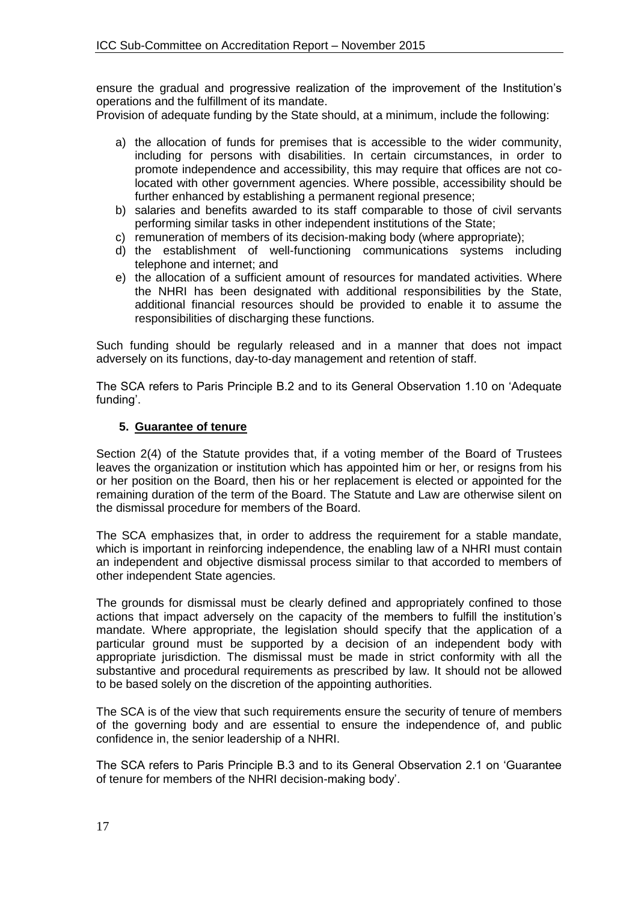ensure the gradual and progressive realization of the improvement of the Institution's operations and the fulfillment of its mandate.

Provision of adequate funding by the State should, at a minimum, include the following:

- a) the allocation of funds for premises that is accessible to the wider community, including for persons with disabilities. In certain circumstances, in order to promote independence and accessibility, this may require that offices are not colocated with other government agencies. Where possible, accessibility should be further enhanced by establishing a permanent regional presence;
- b) salaries and benefits awarded to its staff comparable to those of civil servants performing similar tasks in other independent institutions of the State;
- c) remuneration of members of its decision-making body (where appropriate);
- d) the establishment of well-functioning communications systems including telephone and internet; and
- e) the allocation of a sufficient amount of resources for mandated activities. Where the NHRI has been designated with additional responsibilities by the State, additional financial resources should be provided to enable it to assume the responsibilities of discharging these functions.

Such funding should be regularly released and in a manner that does not impact adversely on its functions, day-to-day management and retention of staff.

The SCA refers to Paris Principle B.2 and to its General Observation 1.10 on 'Adequate funding'.

### **5. Guarantee of tenure**

Section 2(4) of the Statute provides that, if a voting member of the Board of Trustees leaves the organization or institution which has appointed him or her, or resigns from his or her position on the Board, then his or her replacement is elected or appointed for the remaining duration of the term of the Board. The Statute and Law are otherwise silent on the dismissal procedure for members of the Board.

The SCA emphasizes that, in order to address the requirement for a stable mandate, which is important in reinforcing independence, the enabling law of a NHRI must contain an independent and objective dismissal process similar to that accorded to members of other independent State agencies.

The grounds for dismissal must be clearly defined and appropriately confined to those actions that impact adversely on the capacity of the members to fulfill the institution's mandate. Where appropriate, the legislation should specify that the application of a particular ground must be supported by a decision of an independent body with appropriate jurisdiction. The dismissal must be made in strict conformity with all the substantive and procedural requirements as prescribed by law. It should not be allowed to be based solely on the discretion of the appointing authorities.

The SCA is of the view that such requirements ensure the security of tenure of members of the governing body and are essential to ensure the independence of, and public confidence in, the senior leadership of a NHRI.

The SCA refers to Paris Principle B.3 and to its General Observation 2.1 on 'Guarantee of tenure for members of the NHRI decision-making body'.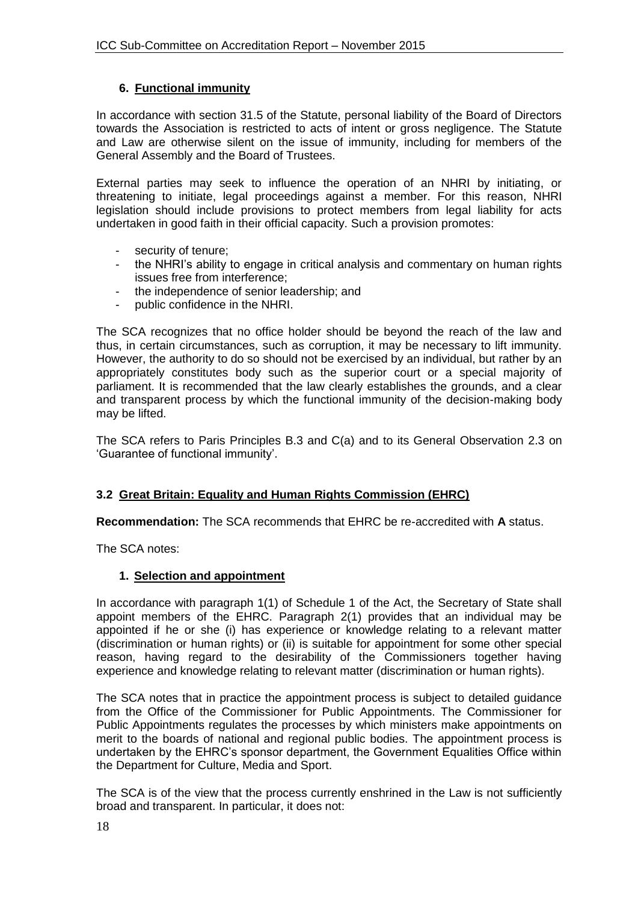## **6. Functional immunity**

In accordance with section 31.5 of the Statute, personal liability of the Board of Directors towards the Association is restricted to acts of intent or gross negligence. The Statute and Law are otherwise silent on the issue of immunity, including for members of the General Assembly and the Board of Trustees.

External parties may seek to influence the operation of an NHRI by initiating, or threatening to initiate, legal proceedings against a member. For this reason, NHRI legislation should include provisions to protect members from legal liability for acts undertaken in good faith in their official capacity. Such a provision promotes:

- security of tenure;
- the NHRI's ability to engage in critical analysis and commentary on human rights issues free from interference;
- the independence of senior leadership; and
- public confidence in the NHRI.

The SCA recognizes that no office holder should be beyond the reach of the law and thus, in certain circumstances, such as corruption, it may be necessary to lift immunity. However, the authority to do so should not be exercised by an individual, but rather by an appropriately constitutes body such as the superior court or a special majority of parliament. It is recommended that the law clearly establishes the grounds, and a clear and transparent process by which the functional immunity of the decision-making body may be lifted.

The SCA refers to Paris Principles B.3 and C(a) and to its General Observation 2.3 on 'Guarantee of functional immunity'.

## **3.2 Great Britain: Equality and Human Rights Commission (EHRC)**

**Recommendation:** The SCA recommends that EHRC be re-accredited with **A** status.

The SCA notes:

#### **1. Selection and appointment**

In accordance with paragraph 1(1) of Schedule 1 of the Act, the Secretary of State shall appoint members of the EHRC. Paragraph 2(1) provides that an individual may be appointed if he or she (i) has experience or knowledge relating to a relevant matter (discrimination or human rights) or (ii) is suitable for appointment for some other special reason, having regard to the desirability of the Commissioners together having experience and knowledge relating to relevant matter (discrimination or human rights).

The SCA notes that in practice the appointment process is subject to detailed guidance from the Office of the Commissioner for Public Appointments. The Commissioner for Public Appointments regulates the processes by which ministers make appointments on merit to the boards of national and regional public bodies. The appointment process is undertaken by the EHRC's sponsor department, the Government Equalities Office within the Department for Culture, Media and Sport.

The SCA is of the view that the process currently enshrined in the Law is not sufficiently broad and transparent. In particular, it does not: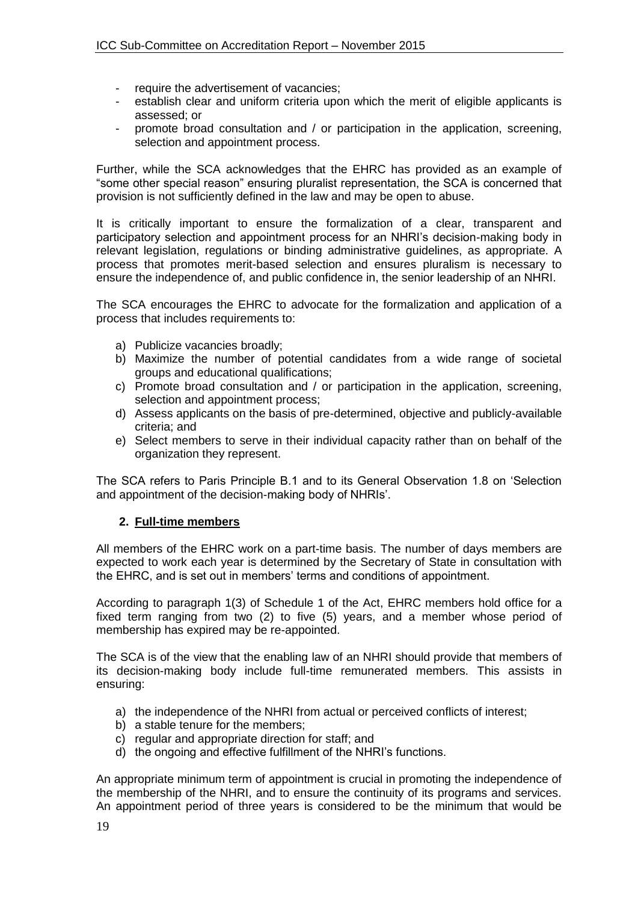- require the advertisement of vacancies;
- establish clear and uniform criteria upon which the merit of eligible applicants is assessed; or
- promote broad consultation and / or participation in the application, screening, selection and appointment process.

Further, while the SCA acknowledges that the EHRC has provided as an example of "some other special reason" ensuring pluralist representation, the SCA is concerned that provision is not sufficiently defined in the law and may be open to abuse.

It is critically important to ensure the formalization of a clear, transparent and participatory selection and appointment process for an NHRI's decision-making body in relevant legislation, regulations or binding administrative guidelines, as appropriate. A process that promotes merit-based selection and ensures pluralism is necessary to ensure the independence of, and public confidence in, the senior leadership of an NHRI.

The SCA encourages the EHRC to advocate for the formalization and application of a process that includes requirements to:

- a) Publicize vacancies broadly;
- b) Maximize the number of potential candidates from a wide range of societal groups and educational qualifications;
- c) Promote broad consultation and / or participation in the application, screening, selection and appointment process;
- d) Assess applicants on the basis of pre-determined, objective and publicly-available criteria; and
- e) Select members to serve in their individual capacity rather than on behalf of the organization they represent.

The SCA refers to Paris Principle B.1 and to its General Observation 1.8 on 'Selection and appointment of the decision-making body of NHRIs'.

#### **2. Full-time members**

All members of the EHRC work on a part-time basis. The number of days members are expected to work each year is determined by the Secretary of State in consultation with the EHRC, and is set out in members' terms and conditions of appointment.

According to paragraph 1(3) of Schedule 1 of the Act, EHRC members hold office for a fixed term ranging from two (2) to five (5) years, and a member whose period of membership has expired may be re-appointed.

The SCA is of the view that the enabling law of an NHRI should provide that members of its decision-making body include full-time remunerated members. This assists in ensuring:

- a) the independence of the NHRI from actual or perceived conflicts of interest;
- b) a stable tenure for the members;
- c) regular and appropriate direction for staff; and
- d) the ongoing and effective fulfillment of the NHRI's functions.

An appropriate minimum term of appointment is crucial in promoting the independence of the membership of the NHRI, and to ensure the continuity of its programs and services. An appointment period of three years is considered to be the minimum that would be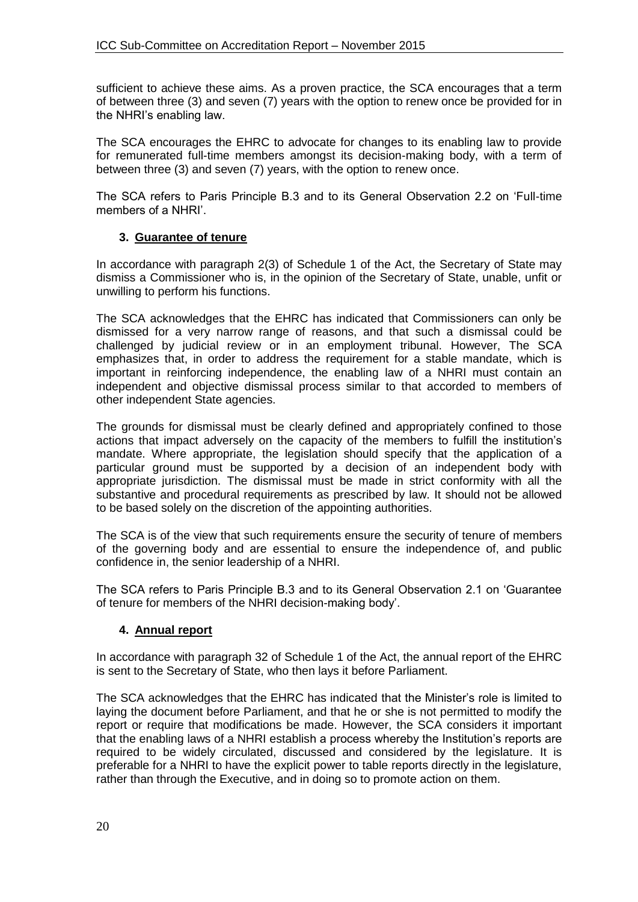sufficient to achieve these aims. As a proven practice, the SCA encourages that a term of between three (3) and seven (7) years with the option to renew once be provided for in the NHRI's enabling law.

The SCA encourages the EHRC to advocate for changes to its enabling law to provide for remunerated full-time members amongst its decision-making body, with a term of between three (3) and seven (7) years, with the option to renew once.

The SCA refers to Paris Principle B.3 and to its General Observation 2.2 on 'Full-time members of a NHRI'.

## **3. Guarantee of tenure**

In accordance with paragraph 2(3) of Schedule 1 of the Act, the Secretary of State may dismiss a Commissioner who is, in the opinion of the Secretary of State, unable, unfit or unwilling to perform his functions.

The SCA acknowledges that the EHRC has indicated that Commissioners can only be dismissed for a very narrow range of reasons, and that such a dismissal could be challenged by judicial review or in an employment tribunal. However, The SCA emphasizes that, in order to address the requirement for a stable mandate, which is important in reinforcing independence, the enabling law of a NHRI must contain an independent and objective dismissal process similar to that accorded to members of other independent State agencies.

The grounds for dismissal must be clearly defined and appropriately confined to those actions that impact adversely on the capacity of the members to fulfill the institution's mandate. Where appropriate, the legislation should specify that the application of a particular ground must be supported by a decision of an independent body with appropriate jurisdiction. The dismissal must be made in strict conformity with all the substantive and procedural requirements as prescribed by law. It should not be allowed to be based solely on the discretion of the appointing authorities.

The SCA is of the view that such requirements ensure the security of tenure of members of the governing body and are essential to ensure the independence of, and public confidence in, the senior leadership of a NHRI.

The SCA refers to Paris Principle B.3 and to its General Observation 2.1 on 'Guarantee of tenure for members of the NHRI decision-making body'.

## **4. Annual report**

In accordance with paragraph 32 of Schedule 1 of the Act, the annual report of the EHRC is sent to the Secretary of State, who then lays it before Parliament.

The SCA acknowledges that the EHRC has indicated that the Minister's role is limited to laying the document before Parliament, and that he or she is not permitted to modify the report or require that modifications be made. However, the SCA considers it important that the enabling laws of a NHRI establish a process whereby the Institution's reports are required to be widely circulated, discussed and considered by the legislature. It is preferable for a NHRI to have the explicit power to table reports directly in the legislature, rather than through the Executive, and in doing so to promote action on them.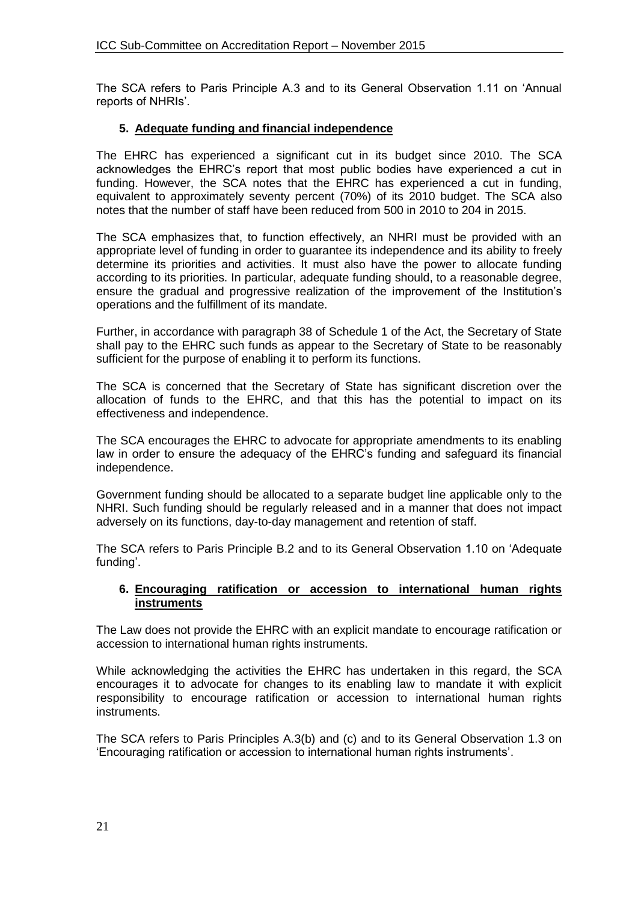The SCA refers to Paris Principle A.3 and to its General Observation 1.11 on 'Annual reports of NHRIs'.

## **5. Adequate funding and financial independence**

The EHRC has experienced a significant cut in its budget since 2010. The SCA acknowledges the EHRC's report that most public bodies have experienced a cut in funding. However, the SCA notes that the EHRC has experienced a cut in funding, equivalent to approximately seventy percent (70%) of its 2010 budget. The SCA also notes that the number of staff have been reduced from 500 in 2010 to 204 in 2015.

The SCA emphasizes that, to function effectively, an NHRI must be provided with an appropriate level of funding in order to guarantee its independence and its ability to freely determine its priorities and activities. It must also have the power to allocate funding according to its priorities. In particular, adequate funding should, to a reasonable degree, ensure the gradual and progressive realization of the improvement of the Institution's operations and the fulfillment of its mandate.

Further, in accordance with paragraph 38 of Schedule 1 of the Act, the Secretary of State shall pay to the EHRC such funds as appear to the Secretary of State to be reasonably sufficient for the purpose of enabling it to perform its functions.

The SCA is concerned that the Secretary of State has significant discretion over the allocation of funds to the EHRC, and that this has the potential to impact on its effectiveness and independence.

The SCA encourages the EHRC to advocate for appropriate amendments to its enabling law in order to ensure the adequacy of the EHRC's funding and safeguard its financial independence.

Government funding should be allocated to a separate budget line applicable only to the NHRI. Such funding should be regularly released and in a manner that does not impact adversely on its functions, day-to-day management and retention of staff.

The SCA refers to Paris Principle B.2 and to its General Observation 1.10 on 'Adequate funding'.

#### **6. Encouraging ratification or accession to international human rights instruments**

The Law does not provide the EHRC with an explicit mandate to encourage ratification or accession to international human rights instruments.

While acknowledging the activities the EHRC has undertaken in this regard, the SCA encourages it to advocate for changes to its enabling law to mandate it with explicit responsibility to encourage ratification or accession to international human rights instruments.

The SCA refers to Paris Principles A.3(b) and (c) and to its General Observation 1.3 on 'Encouraging ratification or accession to international human rights instruments'.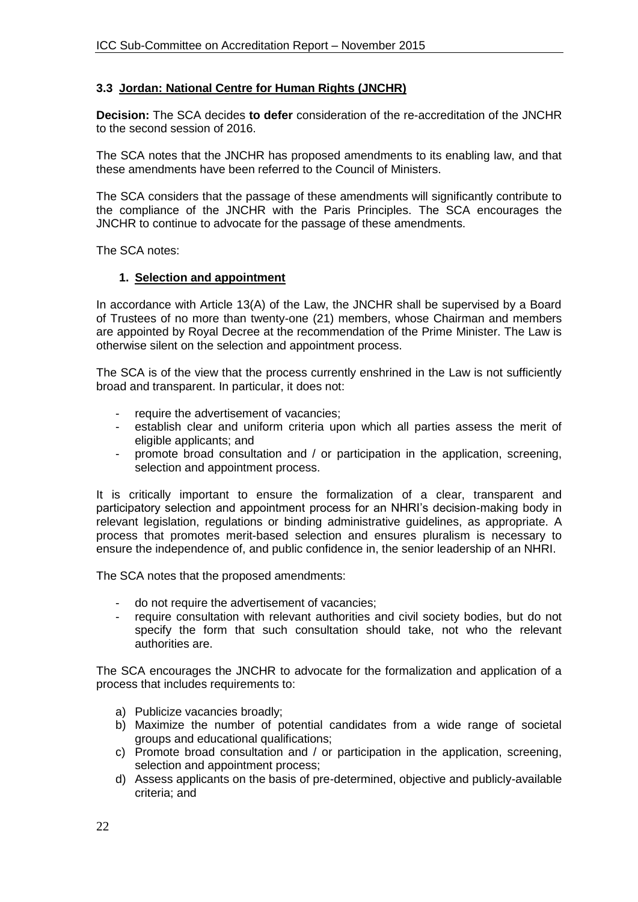### **3.3 Jordan: National Centre for Human Rights (JNCHR)**

**Decision:** The SCA decides **to defer** consideration of the re-accreditation of the JNCHR to the second session of 2016.

The SCA notes that the JNCHR has proposed amendments to its enabling law, and that these amendments have been referred to the Council of Ministers.

The SCA considers that the passage of these amendments will significantly contribute to the compliance of the JNCHR with the Paris Principles. The SCA encourages the JNCHR to continue to advocate for the passage of these amendments.

The SCA notes:

#### **1. Selection and appointment**

In accordance with Article 13(A) of the Law, the JNCHR shall be supervised by a Board of Trustees of no more than twenty-one (21) members, whose Chairman and members are appointed by Royal Decree at the recommendation of the Prime Minister. The Law is otherwise silent on the selection and appointment process.

The SCA is of the view that the process currently enshrined in the Law is not sufficiently broad and transparent. In particular, it does not:

- require the advertisement of vacancies;
- establish clear and uniform criteria upon which all parties assess the merit of eligible applicants; and
- promote broad consultation and / or participation in the application, screening, selection and appointment process.

It is critically important to ensure the formalization of a clear, transparent and participatory selection and appointment process for an NHRI's decision-making body in relevant legislation, regulations or binding administrative guidelines, as appropriate. A process that promotes merit-based selection and ensures pluralism is necessary to ensure the independence of, and public confidence in, the senior leadership of an NHRI.

The SCA notes that the proposed amendments:

- do not require the advertisement of vacancies;
- require consultation with relevant authorities and civil society bodies, but do not specify the form that such consultation should take, not who the relevant authorities are.

The SCA encourages the JNCHR to advocate for the formalization and application of a process that includes requirements to:

- a) Publicize vacancies broadly;
- b) Maximize the number of potential candidates from a wide range of societal groups and educational qualifications;
- c) Promote broad consultation and / or participation in the application, screening, selection and appointment process;
- d) Assess applicants on the basis of pre-determined, objective and publicly-available criteria; and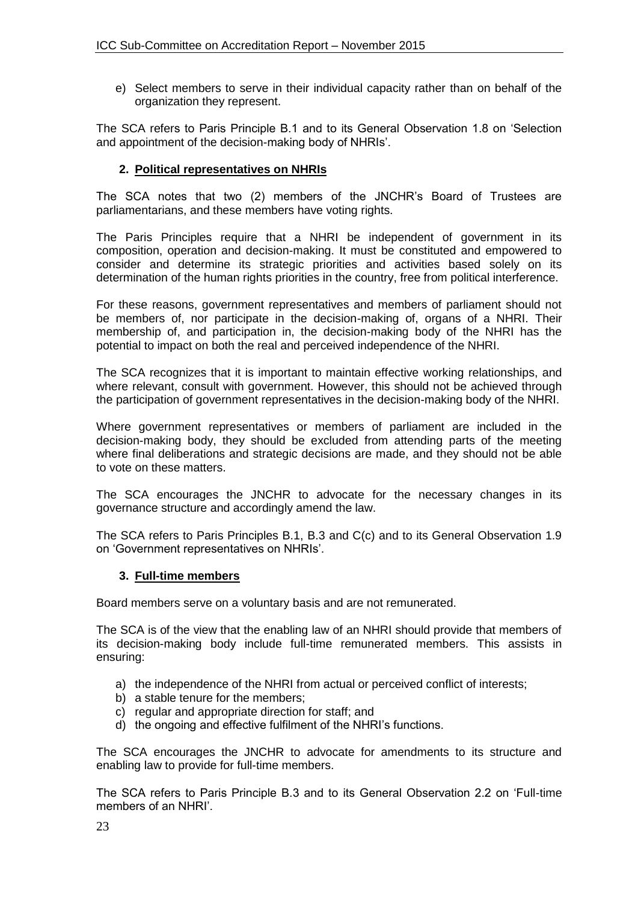e) Select members to serve in their individual capacity rather than on behalf of the organization they represent.

The SCA refers to Paris Principle B.1 and to its General Observation 1.8 on 'Selection and appointment of the decision-making body of NHRIs'.

## **2. Political representatives on NHRIs**

The SCA notes that two (2) members of the JNCHR's Board of Trustees are parliamentarians, and these members have voting rights.

The Paris Principles require that a NHRI be independent of government in its composition, operation and decision-making. It must be constituted and empowered to consider and determine its strategic priorities and activities based solely on its determination of the human rights priorities in the country, free from political interference.

For these reasons, government representatives and members of parliament should not be members of, nor participate in the decision-making of, organs of a NHRI. Their membership of, and participation in, the decision-making body of the NHRI has the potential to impact on both the real and perceived independence of the NHRI.

The SCA recognizes that it is important to maintain effective working relationships, and where relevant, consult with government. However, this should not be achieved through the participation of government representatives in the decision-making body of the NHRI.

Where government representatives or members of parliament are included in the decision-making body, they should be excluded from attending parts of the meeting where final deliberations and strategic decisions are made, and they should not be able to vote on these matters.

The SCA encourages the JNCHR to advocate for the necessary changes in its governance structure and accordingly amend the law.

The SCA refers to Paris Principles B.1, B.3 and C(c) and to its General Observation 1.9 on 'Government representatives on NHRIs'.

#### **3. Full-time members**

Board members serve on a voluntary basis and are not remunerated.

The SCA is of the view that the enabling law of an NHRI should provide that members of its decision-making body include full-time remunerated members. This assists in ensuring:

- a) the independence of the NHRI from actual or perceived conflict of interests;
- b) a stable tenure for the members;
- c) regular and appropriate direction for staff; and
- d) the ongoing and effective fulfilment of the NHRI's functions.

The SCA encourages the JNCHR to advocate for amendments to its structure and enabling law to provide for full-time members.

The SCA refers to Paris Principle B.3 and to its General Observation 2.2 on 'Full-time members of an NHRI'.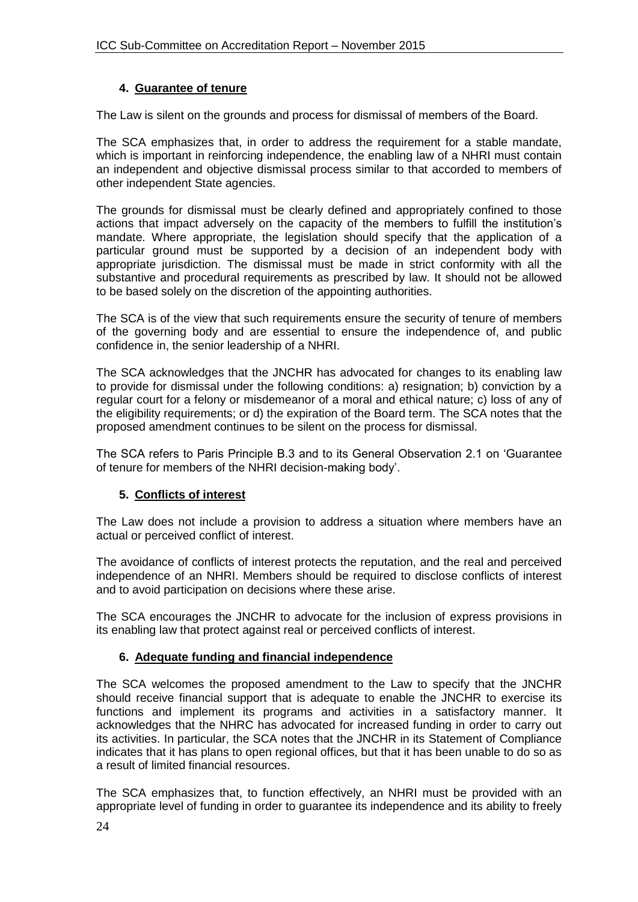## **4. Guarantee of tenure**

The Law is silent on the grounds and process for dismissal of members of the Board.

The SCA emphasizes that, in order to address the requirement for a stable mandate, which is important in reinforcing independence, the enabling law of a NHRI must contain an independent and objective dismissal process similar to that accorded to members of other independent State agencies.

The grounds for dismissal must be clearly defined and appropriately confined to those actions that impact adversely on the capacity of the members to fulfill the institution's mandate. Where appropriate, the legislation should specify that the application of a particular ground must be supported by a decision of an independent body with appropriate jurisdiction. The dismissal must be made in strict conformity with all the substantive and procedural requirements as prescribed by law. It should not be allowed to be based solely on the discretion of the appointing authorities.

The SCA is of the view that such requirements ensure the security of tenure of members of the governing body and are essential to ensure the independence of, and public confidence in, the senior leadership of a NHRI.

The SCA acknowledges that the JNCHR has advocated for changes to its enabling law to provide for dismissal under the following conditions: a) resignation; b) conviction by a regular court for a felony or misdemeanor of a moral and ethical nature; c) loss of any of the eligibility requirements; or d) the expiration of the Board term. The SCA notes that the proposed amendment continues to be silent on the process for dismissal.

The SCA refers to Paris Principle B.3 and to its General Observation 2.1 on 'Guarantee of tenure for members of the NHRI decision-making body'.

## **5. Conflicts of interest**

The Law does not include a provision to address a situation where members have an actual or perceived conflict of interest.

The avoidance of conflicts of interest protects the reputation, and the real and perceived independence of an NHRI. Members should be required to disclose conflicts of interest and to avoid participation on decisions where these arise.

The SCA encourages the JNCHR to advocate for the inclusion of express provisions in its enabling law that protect against real or perceived conflicts of interest.

## **6. Adequate funding and financial independence**

The SCA welcomes the proposed amendment to the Law to specify that the JNCHR should receive financial support that is adequate to enable the JNCHR to exercise its functions and implement its programs and activities in a satisfactory manner. It acknowledges that the NHRC has advocated for increased funding in order to carry out its activities. In particular, the SCA notes that the JNCHR in its Statement of Compliance indicates that it has plans to open regional offices, but that it has been unable to do so as a result of limited financial resources.

The SCA emphasizes that, to function effectively, an NHRI must be provided with an appropriate level of funding in order to guarantee its independence and its ability to freely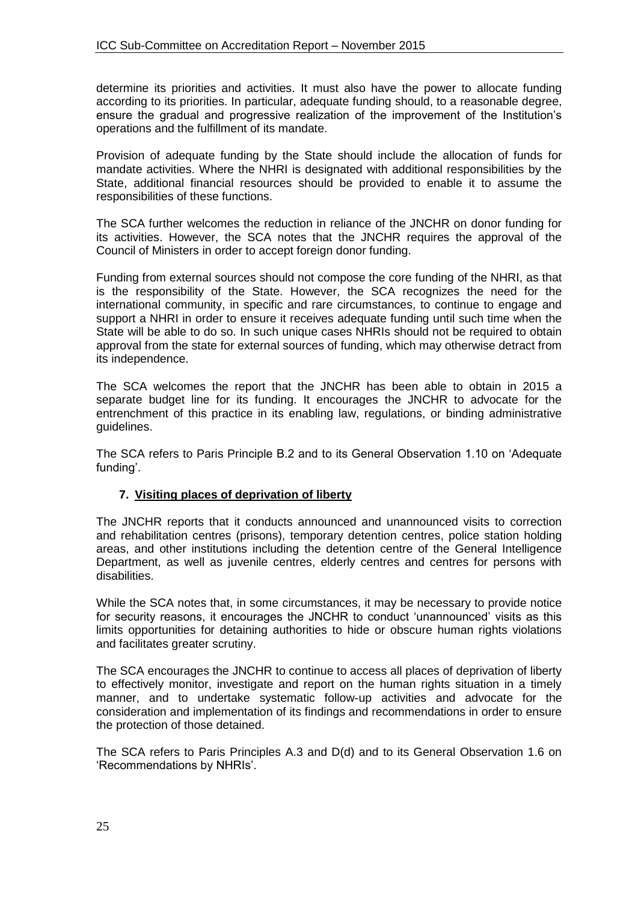determine its priorities and activities. It must also have the power to allocate funding according to its priorities. In particular, adequate funding should, to a reasonable degree, ensure the gradual and progressive realization of the improvement of the Institution's operations and the fulfillment of its mandate.

Provision of adequate funding by the State should include the allocation of funds for mandate activities. Where the NHRI is designated with additional responsibilities by the State, additional financial resources should be provided to enable it to assume the responsibilities of these functions.

The SCA further welcomes the reduction in reliance of the JNCHR on donor funding for its activities. However, the SCA notes that the JNCHR requires the approval of the Council of Ministers in order to accept foreign donor funding.

Funding from external sources should not compose the core funding of the NHRI, as that is the responsibility of the State. However, the SCA recognizes the need for the international community, in specific and rare circumstances, to continue to engage and support a NHRI in order to ensure it receives adequate funding until such time when the State will be able to do so. In such unique cases NHRIs should not be required to obtain approval from the state for external sources of funding, which may otherwise detract from its independence.

The SCA welcomes the report that the JNCHR has been able to obtain in 2015 a separate budget line for its funding. It encourages the JNCHR to advocate for the entrenchment of this practice in its enabling law, regulations, or binding administrative guidelines.

The SCA refers to Paris Principle B.2 and to its General Observation 1.10 on 'Adequate funding'.

## **7. Visiting places of deprivation of liberty**

The JNCHR reports that it conducts announced and unannounced visits to correction and rehabilitation centres (prisons), temporary detention centres, police station holding areas, and other institutions including the detention centre of the General Intelligence Department, as well as juvenile centres, elderly centres and centres for persons with disabilities.

While the SCA notes that, in some circumstances, it may be necessary to provide notice for security reasons, it encourages the JNCHR to conduct 'unannounced' visits as this limits opportunities for detaining authorities to hide or obscure human rights violations and facilitates greater scrutiny.

The SCA encourages the JNCHR to continue to access all places of deprivation of liberty to effectively monitor, investigate and report on the human rights situation in a timely manner, and to undertake systematic follow-up activities and advocate for the consideration and implementation of its findings and recommendations in order to ensure the protection of those detained.

The SCA refers to Paris Principles A.3 and D(d) and to its General Observation 1.6 on 'Recommendations by NHRIs'.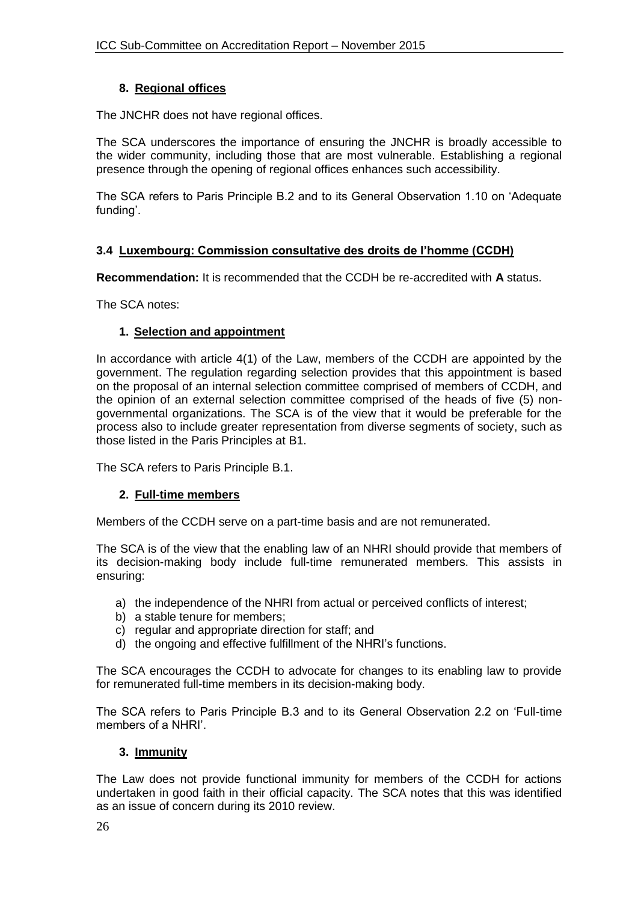### **8. Regional offices**

The JNCHR does not have regional offices.

The SCA underscores the importance of ensuring the JNCHR is broadly accessible to the wider community, including those that are most vulnerable. Establishing a regional presence through the opening of regional offices enhances such accessibility.

The SCA refers to Paris Principle B.2 and to its General Observation 1.10 on 'Adequate funding'.

## **3.4 Luxembourg: Commission consultative des droits de l'homme (CCDH)**

**Recommendation:** It is recommended that the CCDH be re-accredited with **A** status.

The SCA notes:

### **1. Selection and appointment**

In accordance with article 4(1) of the Law, members of the CCDH are appointed by the government. The regulation regarding selection provides that this appointment is based on the proposal of an internal selection committee comprised of members of CCDH, and the opinion of an external selection committee comprised of the heads of five (5) nongovernmental organizations. The SCA is of the view that it would be preferable for the process also to include greater representation from diverse segments of society, such as those listed in the Paris Principles at B1.

The SCA refers to Paris Principle B.1.

## **2. Full-time members**

Members of the CCDH serve on a part-time basis and are not remunerated.

The SCA is of the view that the enabling law of an NHRI should provide that members of its decision-making body include full-time remunerated members. This assists in ensuring:

- a) the independence of the NHRI from actual or perceived conflicts of interest;
- b) a stable tenure for members;
- c) regular and appropriate direction for staff; and
- d) the ongoing and effective fulfillment of the NHRI's functions.

The SCA encourages the CCDH to advocate for changes to its enabling law to provide for remunerated full-time members in its decision-making body.

The SCA refers to Paris Principle B.3 and to its General Observation 2.2 on 'Full-time members of a NHRI'.

#### **3. Immunity**

The Law does not provide functional immunity for members of the CCDH for actions undertaken in good faith in their official capacity. The SCA notes that this was identified as an issue of concern during its 2010 review.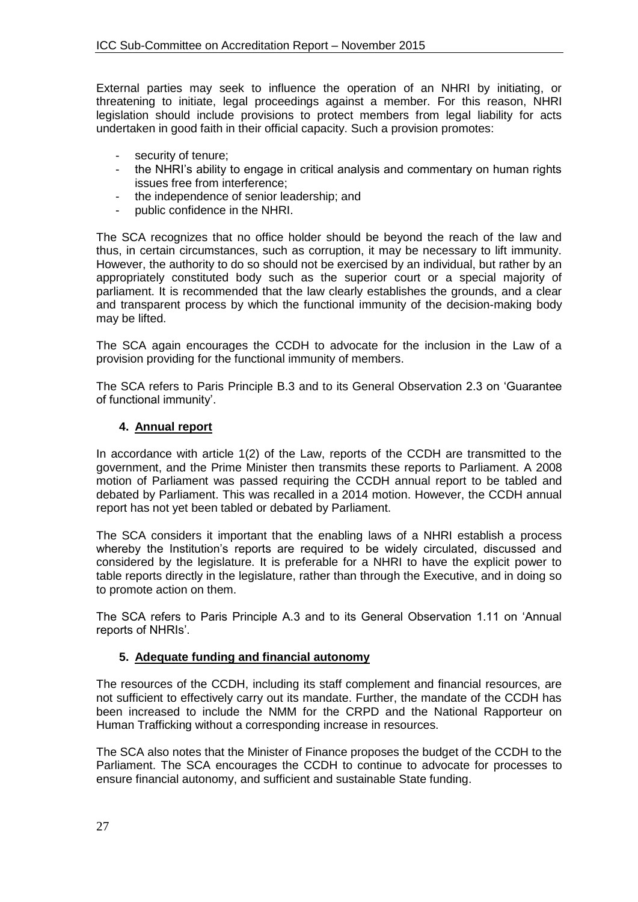External parties may seek to influence the operation of an NHRI by initiating, or threatening to initiate, legal proceedings against a member. For this reason, NHRI legislation should include provisions to protect members from legal liability for acts undertaken in good faith in their official capacity. Such a provision promotes:

- security of tenure;
- the NHRI's ability to engage in critical analysis and commentary on human rights issues free from interference;
- the independence of senior leadership; and
- public confidence in the NHRI.

The SCA recognizes that no office holder should be beyond the reach of the law and thus, in certain circumstances, such as corruption, it may be necessary to lift immunity. However, the authority to do so should not be exercised by an individual, but rather by an appropriately constituted body such as the superior court or a special majority of parliament. It is recommended that the law clearly establishes the grounds, and a clear and transparent process by which the functional immunity of the decision-making body may be lifted.

The SCA again encourages the CCDH to advocate for the inclusion in the Law of a provision providing for the functional immunity of members.

The SCA refers to Paris Principle B.3 and to its General Observation 2.3 on 'Guarantee of functional immunity'.

### **4. Annual report**

In accordance with article 1(2) of the Law, reports of the CCDH are transmitted to the government, and the Prime Minister then transmits these reports to Parliament. A 2008 motion of Parliament was passed requiring the CCDH annual report to be tabled and debated by Parliament. This was recalled in a 2014 motion. However, the CCDH annual report has not yet been tabled or debated by Parliament.

The SCA considers it important that the enabling laws of a NHRI establish a process whereby the Institution's reports are required to be widely circulated, discussed and considered by the legislature. It is preferable for a NHRI to have the explicit power to table reports directly in the legislature, rather than through the Executive, and in doing so to promote action on them.

The SCA refers to Paris Principle A.3 and to its General Observation 1.11 on 'Annual reports of NHRIs'.

## **5. Adequate funding and financial autonomy**

The resources of the CCDH, including its staff complement and financial resources, are not sufficient to effectively carry out its mandate. Further, the mandate of the CCDH has been increased to include the NMM for the CRPD and the National Rapporteur on Human Trafficking without a corresponding increase in resources.

The SCA also notes that the Minister of Finance proposes the budget of the CCDH to the Parliament. The SCA encourages the CCDH to continue to advocate for processes to ensure financial autonomy, and sufficient and sustainable State funding.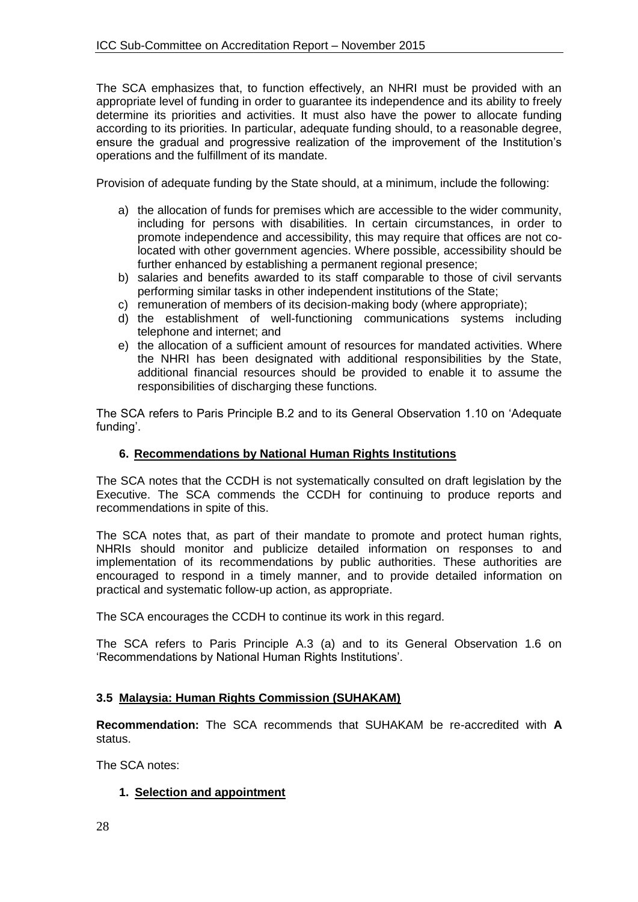The SCA emphasizes that, to function effectively, an NHRI must be provided with an appropriate level of funding in order to guarantee its independence and its ability to freely determine its priorities and activities. It must also have the power to allocate funding according to its priorities. In particular, adequate funding should, to a reasonable degree, ensure the gradual and progressive realization of the improvement of the Institution's operations and the fulfillment of its mandate.

Provision of adequate funding by the State should, at a minimum, include the following:

- a) the allocation of funds for premises which are accessible to the wider community, including for persons with disabilities. In certain circumstances, in order to promote independence and accessibility, this may require that offices are not colocated with other government agencies. Where possible, accessibility should be further enhanced by establishing a permanent regional presence;
- b) salaries and benefits awarded to its staff comparable to those of civil servants performing similar tasks in other independent institutions of the State;
- c) remuneration of members of its decision-making body (where appropriate);
- d) the establishment of well-functioning communications systems including telephone and internet; and
- e) the allocation of a sufficient amount of resources for mandated activities. Where the NHRI has been designated with additional responsibilities by the State, additional financial resources should be provided to enable it to assume the responsibilities of discharging these functions.

The SCA refers to Paris Principle B.2 and to its General Observation 1.10 on 'Adequate funding'.

### **6. Recommendations by National Human Rights Institutions**

The SCA notes that the CCDH is not systematically consulted on draft legislation by the Executive. The SCA commends the CCDH for continuing to produce reports and recommendations in spite of this.

The SCA notes that, as part of their mandate to promote and protect human rights, NHRIs should monitor and publicize detailed information on responses to and implementation of its recommendations by public authorities. These authorities are encouraged to respond in a timely manner, and to provide detailed information on practical and systematic follow-up action, as appropriate.

The SCA encourages the CCDH to continue its work in this regard.

The SCA refers to Paris Principle A.3 (a) and to its General Observation 1.6 on 'Recommendations by National Human Rights Institutions'.

## **3.5 Malaysia: Human Rights Commission (SUHAKAM)**

**Recommendation:** The SCA recommends that SUHAKAM be re-accredited with **A**  status.

The SCA notes:

## **1. Selection and appointment**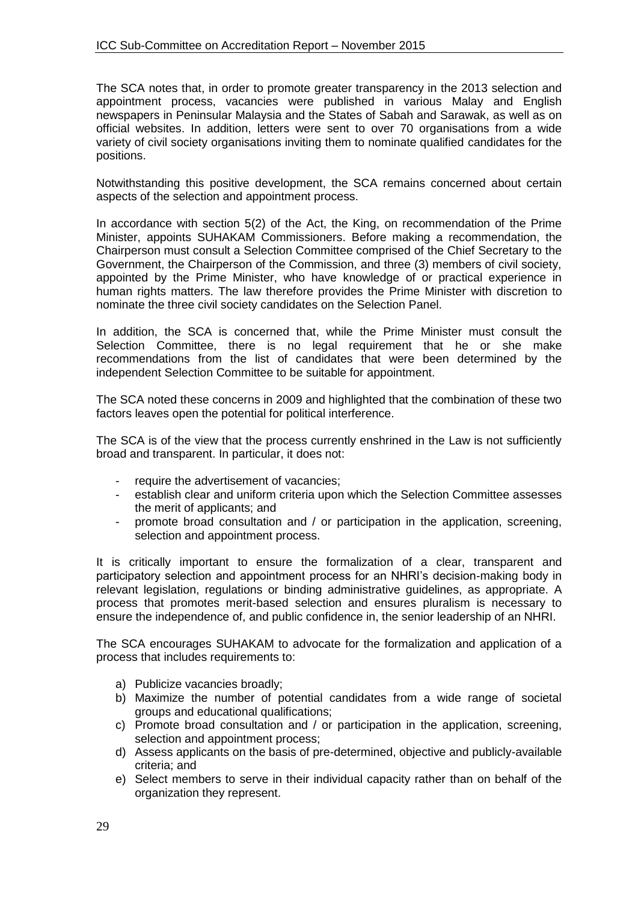The SCA notes that, in order to promote greater transparency in the 2013 selection and appointment process, vacancies were published in various Malay and English newspapers in Peninsular Malaysia and the States of Sabah and Sarawak, as well as on official websites. In addition, letters were sent to over 70 organisations from a wide variety of civil society organisations inviting them to nominate qualified candidates for the positions.

Notwithstanding this positive development, the SCA remains concerned about certain aspects of the selection and appointment process.

In accordance with section 5(2) of the Act, the King, on recommendation of the Prime Minister, appoints SUHAKAM Commissioners. Before making a recommendation, the Chairperson must consult a Selection Committee comprised of the Chief Secretary to the Government, the Chairperson of the Commission, and three (3) members of civil society, appointed by the Prime Minister, who have knowledge of or practical experience in human rights matters. The law therefore provides the Prime Minister with discretion to nominate the three civil society candidates on the Selection Panel.

In addition, the SCA is concerned that, while the Prime Minister must consult the Selection Committee, there is no legal requirement that he or she make recommendations from the list of candidates that were been determined by the independent Selection Committee to be suitable for appointment.

The SCA noted these concerns in 2009 and highlighted that the combination of these two factors leaves open the potential for political interference.

The SCA is of the view that the process currently enshrined in the Law is not sufficiently broad and transparent. In particular, it does not:

- require the advertisement of vacancies;
- establish clear and uniform criteria upon which the Selection Committee assesses the merit of applicants; and
- promote broad consultation and / or participation in the application, screening, selection and appointment process.

It is critically important to ensure the formalization of a clear, transparent and participatory selection and appointment process for an NHRI's decision-making body in relevant legislation, regulations or binding administrative guidelines, as appropriate. A process that promotes merit-based selection and ensures pluralism is necessary to ensure the independence of, and public confidence in, the senior leadership of an NHRI.

The SCA encourages SUHAKAM to advocate for the formalization and application of a process that includes requirements to:

- a) Publicize vacancies broadly;
- b) Maximize the number of potential candidates from a wide range of societal groups and educational qualifications;
- c) Promote broad consultation and / or participation in the application, screening, selection and appointment process;
- d) Assess applicants on the basis of pre-determined, objective and publicly-available criteria; and
- e) Select members to serve in their individual capacity rather than on behalf of the organization they represent.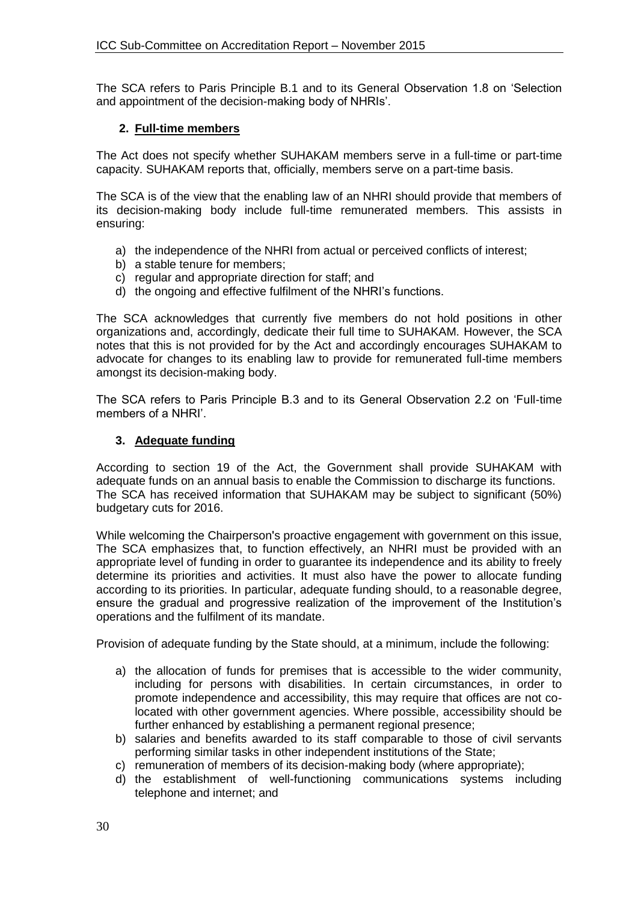The SCA refers to Paris Principle B.1 and to its General Observation 1.8 on 'Selection and appointment of the decision-making body of NHRIs'.

### **2. Full-time members**

The Act does not specify whether SUHAKAM members serve in a full-time or part-time capacity. SUHAKAM reports that, officially, members serve on a part-time basis.

The SCA is of the view that the enabling law of an NHRI should provide that members of its decision-making body include full-time remunerated members. This assists in ensuring:

- a) the independence of the NHRI from actual or perceived conflicts of interest;
- b) a stable tenure for members;
- c) regular and appropriate direction for staff; and
- d) the ongoing and effective fulfilment of the NHRI's functions.

The SCA acknowledges that currently five members do not hold positions in other organizations and, accordingly, dedicate their full time to SUHAKAM. However, the SCA notes that this is not provided for by the Act and accordingly encourages SUHAKAM to advocate for changes to its enabling law to provide for remunerated full-time members amongst its decision-making body.

The SCA refers to Paris Principle B.3 and to its General Observation 2.2 on 'Full-time members of a NHRI'.

### **3. Adequate funding**

According to section 19 of the Act, the Government shall provide SUHAKAM with adequate funds on an annual basis to enable the Commission to discharge its functions. The SCA has received information that SUHAKAM may be subject to significant (50%) budgetary cuts for 2016.

While welcoming the Chairperson's proactive engagement with government on this issue, The SCA emphasizes that, to function effectively, an NHRI must be provided with an appropriate level of funding in order to guarantee its independence and its ability to freely determine its priorities and activities. It must also have the power to allocate funding according to its priorities. In particular, adequate funding should, to a reasonable degree, ensure the gradual and progressive realization of the improvement of the Institution's operations and the fulfilment of its mandate.

Provision of adequate funding by the State should, at a minimum, include the following:

- a) the allocation of funds for premises that is accessible to the wider community, including for persons with disabilities. In certain circumstances, in order to promote independence and accessibility, this may require that offices are not colocated with other government agencies. Where possible, accessibility should be further enhanced by establishing a permanent regional presence;
- b) salaries and benefits awarded to its staff comparable to those of civil servants performing similar tasks in other independent institutions of the State;
- c) remuneration of members of its decision-making body (where appropriate);
- d) the establishment of well-functioning communications systems including telephone and internet; and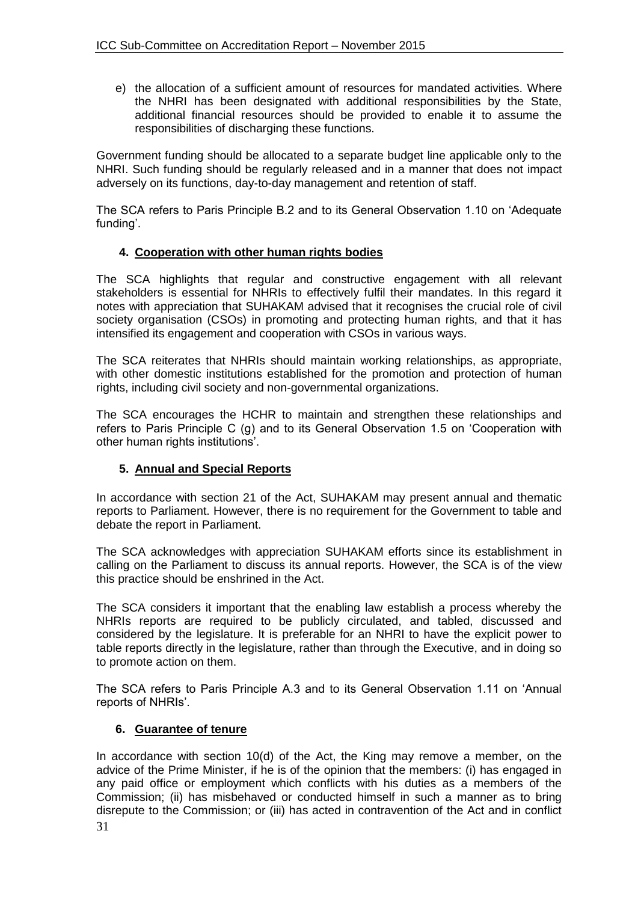e) the allocation of a sufficient amount of resources for mandated activities. Where the NHRI has been designated with additional responsibilities by the State, additional financial resources should be provided to enable it to assume the responsibilities of discharging these functions.

Government funding should be allocated to a separate budget line applicable only to the NHRI. Such funding should be regularly released and in a manner that does not impact adversely on its functions, day-to-day management and retention of staff.

The SCA refers to Paris Principle B.2 and to its General Observation 1.10 on 'Adequate funding'.

### **4. Cooperation with other human rights bodies**

The SCA highlights that regular and constructive engagement with all relevant stakeholders is essential for NHRIs to effectively fulfil their mandates. In this regard it notes with appreciation that SUHAKAM advised that it recognises the crucial role of civil society organisation (CSOs) in promoting and protecting human rights, and that it has intensified its engagement and cooperation with CSOs in various ways.

The SCA reiterates that NHRIs should maintain working relationships, as appropriate, with other domestic institutions established for the promotion and protection of human rights, including civil society and non-governmental organizations.

The SCA encourages the HCHR to maintain and strengthen these relationships and refers to Paris Principle C (g) and to its General Observation 1.5 on 'Cooperation with other human rights institutions'.

## **5. Annual and Special Reports**

In accordance with section 21 of the Act, SUHAKAM may present annual and thematic reports to Parliament. However, there is no requirement for the Government to table and debate the report in Parliament.

The SCA acknowledges with appreciation SUHAKAM efforts since its establishment in calling on the Parliament to discuss its annual reports. However, the SCA is of the view this practice should be enshrined in the Act.

The SCA considers it important that the enabling law establish a process whereby the NHRIs reports are required to be publicly circulated, and tabled, discussed and considered by the legislature. It is preferable for an NHRI to have the explicit power to table reports directly in the legislature, rather than through the Executive, and in doing so to promote action on them.

The SCA refers to Paris Principle A.3 and to its General Observation 1.11 on 'Annual reports of NHRIs'.

#### **6. Guarantee of tenure**

31 In accordance with section 10(d) of the Act, the King may remove a member, on the advice of the Prime Minister, if he is of the opinion that the members: (i) has engaged in any paid office or employment which conflicts with his duties as a members of the Commission; (ii) has misbehaved or conducted himself in such a manner as to bring disrepute to the Commission; or (iii) has acted in contravention of the Act and in conflict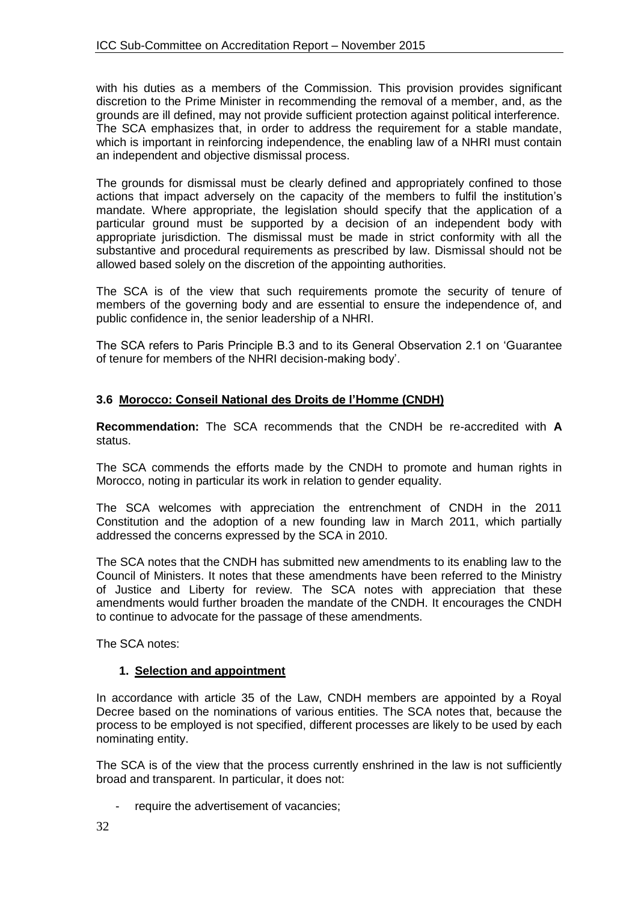with his duties as a members of the Commission. This provision provides significant discretion to the Prime Minister in recommending the removal of a member, and, as the grounds are ill defined, may not provide sufficient protection against political interference. The SCA emphasizes that, in order to address the requirement for a stable mandate, which is important in reinforcing independence, the enabling law of a NHRI must contain an independent and objective dismissal process.

The grounds for dismissal must be clearly defined and appropriately confined to those actions that impact adversely on the capacity of the members to fulfil the institution's mandate. Where appropriate, the legislation should specify that the application of a particular ground must be supported by a decision of an independent body with appropriate jurisdiction. The dismissal must be made in strict conformity with all the substantive and procedural requirements as prescribed by law. Dismissal should not be allowed based solely on the discretion of the appointing authorities.

The SCA is of the view that such requirements promote the security of tenure of members of the governing body and are essential to ensure the independence of, and public confidence in, the senior leadership of a NHRI.

The SCA refers to Paris Principle B.3 and to its General Observation 2.1 on 'Guarantee of tenure for members of the NHRI decision-making body'.

## **3.6 Morocco: Conseil National des Droits de l'Homme (CNDH)**

**Recommendation:** The SCA recommends that the CNDH be re-accredited with **A** status.

The SCA commends the efforts made by the CNDH to promote and human rights in Morocco, noting in particular its work in relation to gender equality.

The SCA welcomes with appreciation the entrenchment of CNDH in the 2011 Constitution and the adoption of a new founding law in March 2011, which partially addressed the concerns expressed by the SCA in 2010.

The SCA notes that the CNDH has submitted new amendments to its enabling law to the Council of Ministers. It notes that these amendments have been referred to the Ministry of Justice and Liberty for review. The SCA notes with appreciation that these amendments would further broaden the mandate of the CNDH. It encourages the CNDH to continue to advocate for the passage of these amendments.

The SCA notes:

#### **1. Selection and appointment**

In accordance with article 35 of the Law, CNDH members are appointed by a Royal Decree based on the nominations of various entities. The SCA notes that, because the process to be employed is not specified, different processes are likely to be used by each nominating entity.

The SCA is of the view that the process currently enshrined in the law is not sufficiently broad and transparent. In particular, it does not:

require the advertisement of vacancies;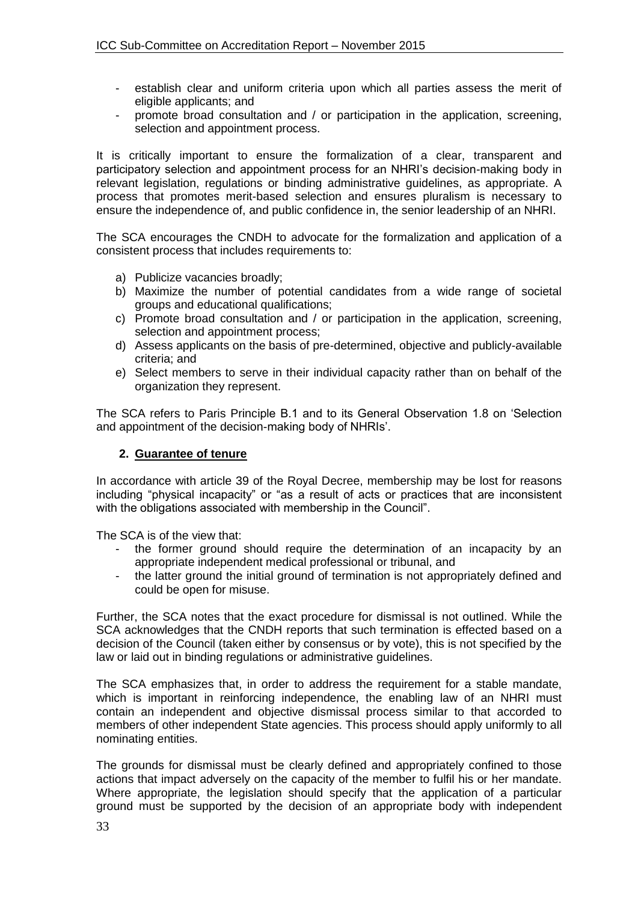- establish clear and uniform criteria upon which all parties assess the merit of eligible applicants; and
- promote broad consultation and / or participation in the application, screening, selection and appointment process.

It is critically important to ensure the formalization of a clear, transparent and participatory selection and appointment process for an NHRI's decision-making body in relevant legislation, regulations or binding administrative guidelines, as appropriate. A process that promotes merit-based selection and ensures pluralism is necessary to ensure the independence of, and public confidence in, the senior leadership of an NHRI.

The SCA encourages the CNDH to advocate for the formalization and application of a consistent process that includes requirements to:

- a) Publicize vacancies broadly;
- b) Maximize the number of potential candidates from a wide range of societal groups and educational qualifications;
- c) Promote broad consultation and / or participation in the application, screening, selection and appointment process;
- d) Assess applicants on the basis of pre-determined, objective and publicly-available criteria; and
- e) Select members to serve in their individual capacity rather than on behalf of the organization they represent.

The SCA refers to Paris Principle B.1 and to its General Observation 1.8 on 'Selection and appointment of the decision-making body of NHRIs'.

#### **2. Guarantee of tenure**

In accordance with article 39 of the Royal Decree, membership may be lost for reasons including "physical incapacity" or "as a result of acts or practices that are inconsistent with the obligations associated with membership in the Council".

The SCA is of the view that:

- the former ground should require the determination of an incapacity by an appropriate independent medical professional or tribunal, and
- the latter ground the initial ground of termination is not appropriately defined and could be open for misuse.

Further, the SCA notes that the exact procedure for dismissal is not outlined. While the SCA acknowledges that the CNDH reports that such termination is effected based on a decision of the Council (taken either by consensus or by vote), this is not specified by the law or laid out in binding regulations or administrative guidelines.

The SCA emphasizes that, in order to address the requirement for a stable mandate, which is important in reinforcing independence, the enabling law of an NHRI must contain an independent and objective dismissal process similar to that accorded to members of other independent State agencies. This process should apply uniformly to all nominating entities.

The grounds for dismissal must be clearly defined and appropriately confined to those actions that impact adversely on the capacity of the member to fulfil his or her mandate. Where appropriate, the legislation should specify that the application of a particular ground must be supported by the decision of an appropriate body with independent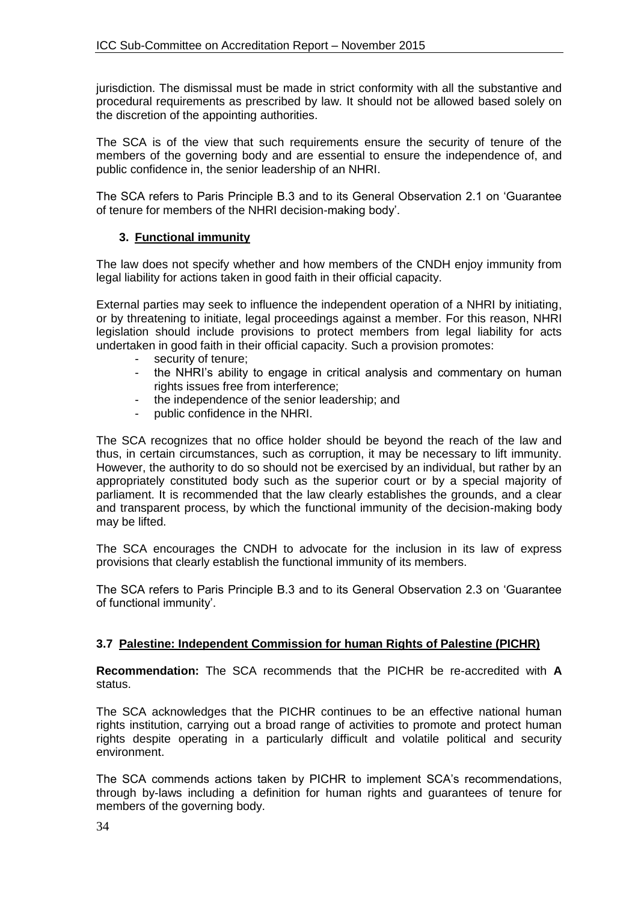jurisdiction. The dismissal must be made in strict conformity with all the substantive and procedural requirements as prescribed by law. It should not be allowed based solely on the discretion of the appointing authorities.

The SCA is of the view that such requirements ensure the security of tenure of the members of the governing body and are essential to ensure the independence of, and public confidence in, the senior leadership of an NHRI.

The SCA refers to Paris Principle B.3 and to its General Observation 2.1 on 'Guarantee of tenure for members of the NHRI decision-making body'.

### **3. Functional immunity**

The law does not specify whether and how members of the CNDH enjoy immunity from legal liability for actions taken in good faith in their official capacity.

External parties may seek to influence the independent operation of a NHRI by initiating, or by threatening to initiate, legal proceedings against a member. For this reason, NHRI legislation should include provisions to protect members from legal liability for acts undertaken in good faith in their official capacity. Such a provision promotes:

- security of tenure;
- the NHRI's ability to engage in critical analysis and commentary on human rights issues free from interference;
- the independence of the senior leadership; and
- public confidence in the NHRI.

The SCA recognizes that no office holder should be beyond the reach of the law and thus, in certain circumstances, such as corruption, it may be necessary to lift immunity. However, the authority to do so should not be exercised by an individual, but rather by an appropriately constituted body such as the superior court or by a special majority of parliament. It is recommended that the law clearly establishes the grounds, and a clear and transparent process, by which the functional immunity of the decision-making body may be lifted.

The SCA encourages the CNDH to advocate for the inclusion in its law of express provisions that clearly establish the functional immunity of its members.

The SCA refers to Paris Principle B.3 and to its General Observation 2.3 on 'Guarantee of functional immunity'.

#### **3.7 Palestine: Independent Commission for human Rights of Palestine (PICHR)**

**Recommendation:** The SCA recommends that the PICHR be re-accredited with **A** status.

The SCA acknowledges that the PICHR continues to be an effective national human rights institution, carrying out a broad range of activities to promote and protect human rights despite operating in a particularly difficult and volatile political and security environment.

The SCA commends actions taken by PICHR to implement SCA's recommendations, through by-laws including a definition for human rights and guarantees of tenure for members of the governing body.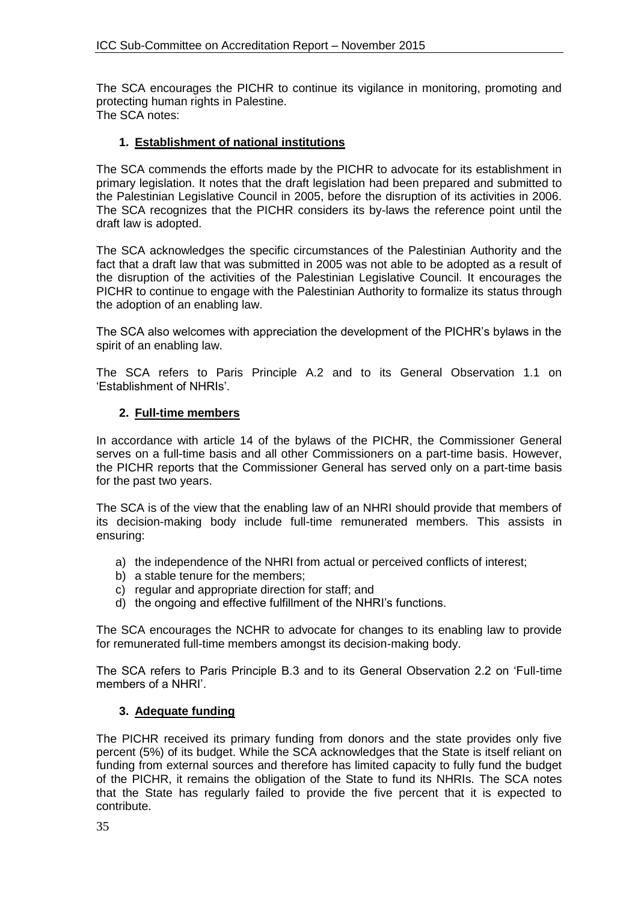The SCA encourages the PICHR to continue its vigilance in monitoring, promoting and protecting human rights in Palestine. The SCA notes:

### **1. Establishment of national institutions**

The SCA commends the efforts made by the PICHR to advocate for its establishment in primary legislation. It notes that the draft legislation had been prepared and submitted to the Palestinian Legislative Council in 2005, before the disruption of its activities in 2006. The SCA recognizes that the PICHR considers its by-laws the reference point until the draft law is adopted.

The SCA acknowledges the specific circumstances of the Palestinian Authority and the fact that a draft law that was submitted in 2005 was not able to be adopted as a result of the disruption of the activities of the Palestinian Legislative Council. It encourages the PICHR to continue to engage with the Palestinian Authority to formalize its status through the adoption of an enabling law.

The SCA also welcomes with appreciation the development of the PICHR's bylaws in the spirit of an enabling law.

The SCA refers to Paris Principle A.2 and to its General Observation 1.1 on 'Establishment of NHRIs'.

#### **2. Full-time members**

In accordance with article 14 of the bylaws of the PICHR, the Commissioner General serves on a full-time basis and all other Commissioners on a part-time basis. However, the PICHR reports that the Commissioner General has served only on a part-time basis for the past two years.

The SCA is of the view that the enabling law of an NHRI should provide that members of its decision-making body include full-time remunerated members. This assists in ensuring:

- a) the independence of the NHRI from actual or perceived conflicts of interest;
- b) a stable tenure for the members;
- c) regular and appropriate direction for staff; and
- d) the ongoing and effective fulfillment of the NHRI's functions.

The SCA encourages the NCHR to advocate for changes to its enabling law to provide for remunerated full-time members amongst its decision-making body.

The SCA refers to Paris Principle B.3 and to its General Observation 2.2 on 'Full-time members of a NHRI'.

#### **3. Adequate funding**

The PICHR received its primary funding from donors and the state provides only five percent (5%) of its budget. While the SCA acknowledges that the State is itself reliant on funding from external sources and therefore has limited capacity to fully fund the budget of the PICHR, it remains the obligation of the State to fund its NHRIs. The SCA notes that the State has regularly failed to provide the five percent that it is expected to contribute.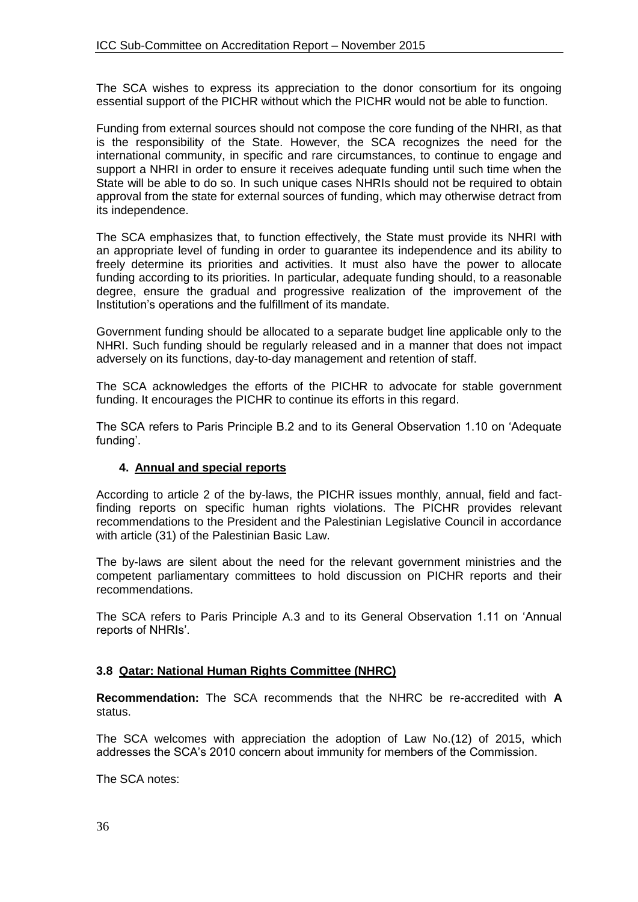The SCA wishes to express its appreciation to the donor consortium for its ongoing essential support of the PICHR without which the PICHR would not be able to function.

Funding from external sources should not compose the core funding of the NHRI, as that is the responsibility of the State. However, the SCA recognizes the need for the international community, in specific and rare circumstances, to continue to engage and support a NHRI in order to ensure it receives adequate funding until such time when the State will be able to do so. In such unique cases NHRIs should not be required to obtain approval from the state for external sources of funding, which may otherwise detract from its independence.

The SCA emphasizes that, to function effectively, the State must provide its NHRI with an appropriate level of funding in order to guarantee its independence and its ability to freely determine its priorities and activities. It must also have the power to allocate funding according to its priorities. In particular, adequate funding should, to a reasonable degree, ensure the gradual and progressive realization of the improvement of the Institution's operations and the fulfillment of its mandate.

Government funding should be allocated to a separate budget line applicable only to the NHRI. Such funding should be regularly released and in a manner that does not impact adversely on its functions, day-to-day management and retention of staff.

The SCA acknowledges the efforts of the PICHR to advocate for stable government funding. It encourages the PICHR to continue its efforts in this regard.

The SCA refers to Paris Principle B.2 and to its General Observation 1.10 on 'Adequate funding'.

## **4. Annual and special reports**

According to article 2 of the by-laws, the PICHR issues monthly, annual, field and factfinding reports on specific human rights violations. The PICHR provides relevant recommendations to the President and the Palestinian Legislative Council in accordance with article (31) of the Palestinian Basic Law.

The by-laws are silent about the need for the relevant government ministries and the competent parliamentary committees to hold discussion on PICHR reports and their recommendations.

The SCA refers to Paris Principle A.3 and to its General Observation 1.11 on 'Annual reports of NHRIs'.

## **3.8 Qatar: National Human Rights Committee (NHRC)**

**Recommendation:** The SCA recommends that the NHRC be re-accredited with **A** status.

The SCA welcomes with appreciation the adoption of Law No.(12) of 2015, which addresses the SCA's 2010 concern about immunity for members of the Commission.

The SCA notes: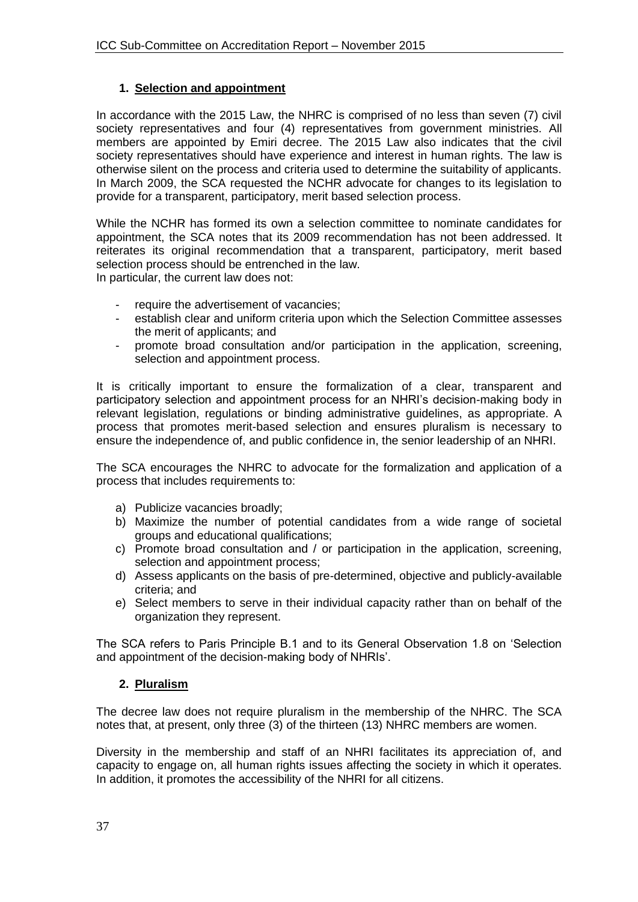### **1. Selection and appointment**

In accordance with the 2015 Law, the NHRC is comprised of no less than seven (7) civil society representatives and four (4) representatives from government ministries. All members are appointed by Emiri decree. The 2015 Law also indicates that the civil society representatives should have experience and interest in human rights. The law is otherwise silent on the process and criteria used to determine the suitability of applicants. In March 2009, the SCA requested the NCHR advocate for changes to its legislation to provide for a transparent, participatory, merit based selection process.

While the NCHR has formed its own a selection committee to nominate candidates for appointment, the SCA notes that its 2009 recommendation has not been addressed. It reiterates its original recommendation that a transparent, participatory, merit based selection process should be entrenched in the law.

In particular, the current law does not:

- require the advertisement of vacancies;
- establish clear and uniform criteria upon which the Selection Committee assesses the merit of applicants; and
- promote broad consultation and/or participation in the application, screening, selection and appointment process.

It is critically important to ensure the formalization of a clear, transparent and participatory selection and appointment process for an NHRI's decision-making body in relevant legislation, regulations or binding administrative guidelines, as appropriate. A process that promotes merit-based selection and ensures pluralism is necessary to ensure the independence of, and public confidence in, the senior leadership of an NHRI.

The SCA encourages the NHRC to advocate for the formalization and application of a process that includes requirements to:

- a) Publicize vacancies broadly;
- b) Maximize the number of potential candidates from a wide range of societal groups and educational qualifications;
- c) Promote broad consultation and / or participation in the application, screening, selection and appointment process;
- d) Assess applicants on the basis of pre-determined, objective and publicly-available criteria; and
- e) Select members to serve in their individual capacity rather than on behalf of the organization they represent.

The SCA refers to Paris Principle B.1 and to its General Observation 1.8 on 'Selection and appointment of the decision-making body of NHRIs'.

## **2. Pluralism**

The decree law does not require pluralism in the membership of the NHRC. The SCA notes that, at present, only three (3) of the thirteen (13) NHRC members are women.

Diversity in the membership and staff of an NHRI facilitates its appreciation of, and capacity to engage on, all human rights issues affecting the society in which it operates. In addition, it promotes the accessibility of the NHRI for all citizens.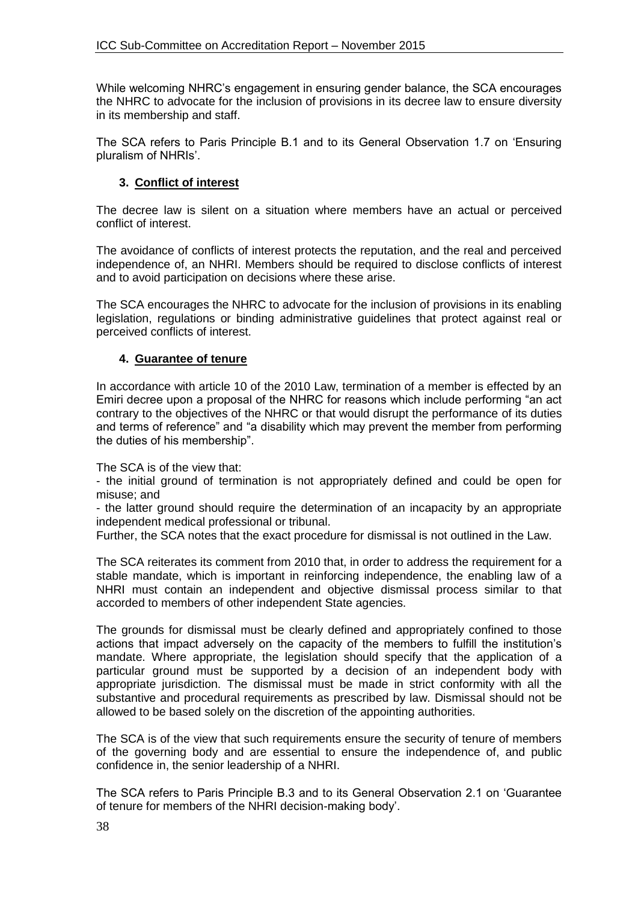While welcoming NHRC's engagement in ensuring gender balance, the SCA encourages the NHRC to advocate for the inclusion of provisions in its decree law to ensure diversity in its membership and staff.

The SCA refers to Paris Principle B.1 and to its General Observation 1.7 on 'Ensuring pluralism of NHRIs'.

### **3. Conflict of interest**

The decree law is silent on a situation where members have an actual or perceived conflict of interest.

The avoidance of conflicts of interest protects the reputation, and the real and perceived independence of, an NHRI. Members should be required to disclose conflicts of interest and to avoid participation on decisions where these arise.

The SCA encourages the NHRC to advocate for the inclusion of provisions in its enabling legislation, regulations or binding administrative guidelines that protect against real or perceived conflicts of interest.

#### **4. Guarantee of tenure**

In accordance with article 10 of the 2010 Law, termination of a member is effected by an Emiri decree upon a proposal of the NHRC for reasons which include performing "an act contrary to the objectives of the NHRC or that would disrupt the performance of its duties and terms of reference" and "a disability which may prevent the member from performing the duties of his membership".

The SCA is of the view that:

- the initial ground of termination is not appropriately defined and could be open for misuse; and

- the latter ground should require the determination of an incapacity by an appropriate independent medical professional or tribunal.

Further, the SCA notes that the exact procedure for dismissal is not outlined in the Law.

The SCA reiterates its comment from 2010 that, in order to address the requirement for a stable mandate, which is important in reinforcing independence, the enabling law of a NHRI must contain an independent and objective dismissal process similar to that accorded to members of other independent State agencies.

The grounds for dismissal must be clearly defined and appropriately confined to those actions that impact adversely on the capacity of the members to fulfill the institution's mandate. Where appropriate, the legislation should specify that the application of a particular ground must be supported by a decision of an independent body with appropriate jurisdiction. The dismissal must be made in strict conformity with all the substantive and procedural requirements as prescribed by law. Dismissal should not be allowed to be based solely on the discretion of the appointing authorities.

The SCA is of the view that such requirements ensure the security of tenure of members of the governing body and are essential to ensure the independence of, and public confidence in, the senior leadership of a NHRI.

The SCA refers to Paris Principle B.3 and to its General Observation 2.1 on 'Guarantee of tenure for members of the NHRI decision-making body'.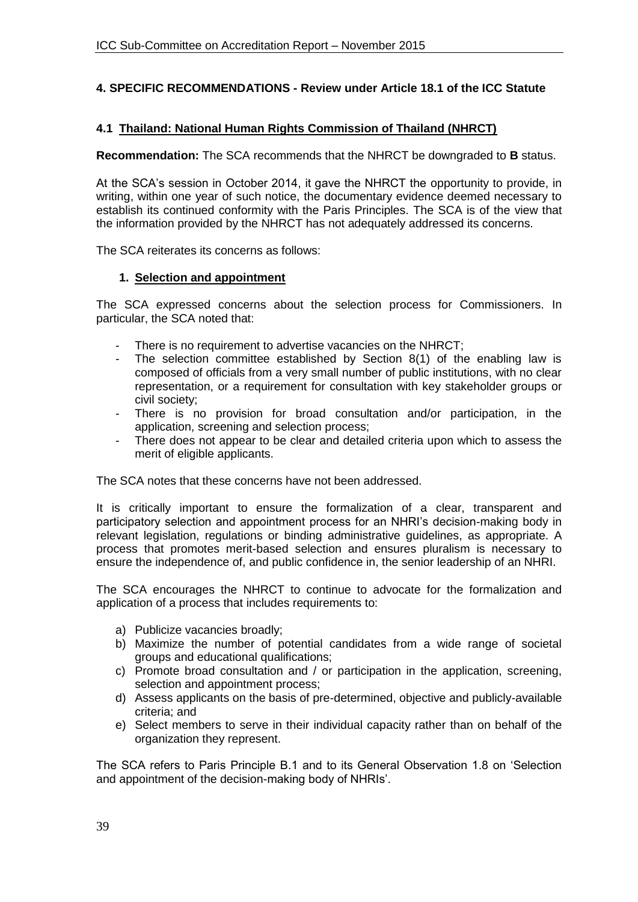## **4. SPECIFIC RECOMMENDATIONS - Review under Article 18.1 of the ICC Statute**

### **4.1 Thailand: National Human Rights Commission of Thailand (NHRCT)**

**Recommendation:** The SCA recommends that the NHRCT be downgraded to **B** status.

At the SCA's session in October 2014, it gave the NHRCT the opportunity to provide, in writing, within one year of such notice, the documentary evidence deemed necessary to establish its continued conformity with the Paris Principles. The SCA is of the view that the information provided by the NHRCT has not adequately addressed its concerns.

The SCA reiterates its concerns as follows:

#### **1. Selection and appointment**

The SCA expressed concerns about the selection process for Commissioners. In particular, the SCA noted that:

- There is no requirement to advertise vacancies on the NHRCT;
- The selection committee established by Section 8(1) of the enabling law is composed of officials from a very small number of public institutions, with no clear representation, or a requirement for consultation with key stakeholder groups or civil society;
- There is no provision for broad consultation and/or participation, in the application, screening and selection process;
- There does not appear to be clear and detailed criteria upon which to assess the merit of eligible applicants.

The SCA notes that these concerns have not been addressed.

It is critically important to ensure the formalization of a clear, transparent and participatory selection and appointment process for an NHRI's decision-making body in relevant legislation, regulations or binding administrative guidelines, as appropriate. A process that promotes merit-based selection and ensures pluralism is necessary to ensure the independence of, and public confidence in, the senior leadership of an NHRI.

The SCA encourages the NHRCT to continue to advocate for the formalization and application of a process that includes requirements to:

- a) Publicize vacancies broadly;
- b) Maximize the number of potential candidates from a wide range of societal groups and educational qualifications;
- c) Promote broad consultation and / or participation in the application, screening, selection and appointment process;
- d) Assess applicants on the basis of pre-determined, objective and publicly-available criteria; and
- e) Select members to serve in their individual capacity rather than on behalf of the organization they represent.

The SCA refers to Paris Principle B.1 and to its General Observation 1.8 on 'Selection and appointment of the decision-making body of NHRIs'.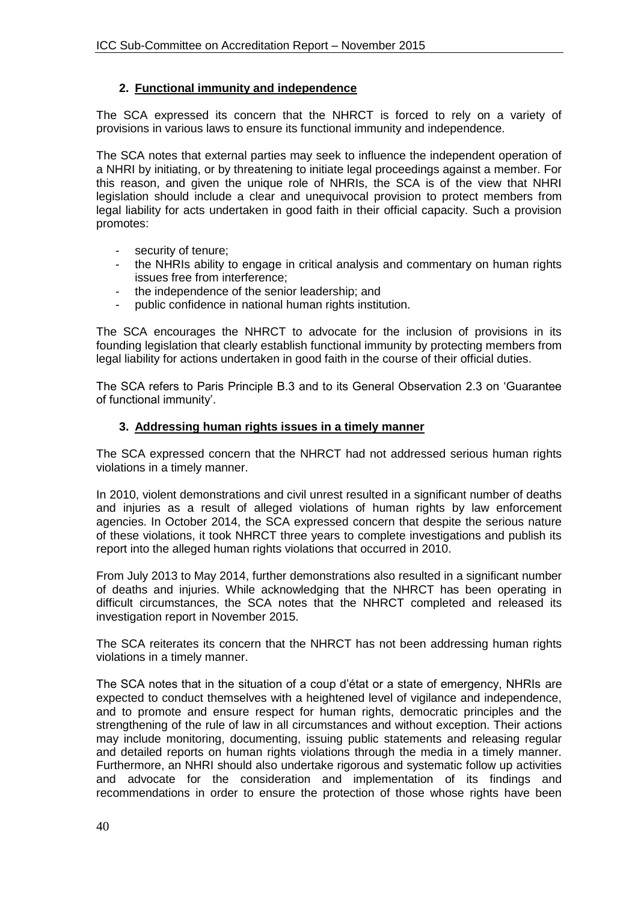## **2. Functional immunity and independence**

The SCA expressed its concern that the NHRCT is forced to rely on a variety of provisions in various laws to ensure its functional immunity and independence.

The SCA notes that external parties may seek to influence the independent operation of a NHRI by initiating, or by threatening to initiate legal proceedings against a member. For this reason, and given the unique role of NHRIs, the SCA is of the view that NHRI legislation should include a clear and unequivocal provision to protect members from legal liability for acts undertaken in good faith in their official capacity. Such a provision promotes:

- security of tenure;
- the NHRIs ability to engage in critical analysis and commentary on human rights issues free from interference;
- the independence of the senior leadership; and
- public confidence in national human rights institution.

The SCA encourages the NHRCT to advocate for the inclusion of provisions in its founding legislation that clearly establish functional immunity by protecting members from legal liability for actions undertaken in good faith in the course of their official duties.

The SCA refers to Paris Principle B.3 and to its General Observation 2.3 on 'Guarantee of functional immunity'.

### **3. Addressing human rights issues in a timely manner**

The SCA expressed concern that the NHRCT had not addressed serious human rights violations in a timely manner.

In 2010, violent demonstrations and civil unrest resulted in a significant number of deaths and injuries as a result of alleged violations of human rights by law enforcement agencies. In October 2014, the SCA expressed concern that despite the serious nature of these violations, it took NHRCT three years to complete investigations and publish its report into the alleged human rights violations that occurred in 2010.

From July 2013 to May 2014, further demonstrations also resulted in a significant number of deaths and injuries. While acknowledging that the NHRCT has been operating in difficult circumstances, the SCA notes that the NHRCT completed and released its investigation report in November 2015.

The SCA reiterates its concern that the NHRCT has not been addressing human rights violations in a timely manner.

The SCA notes that in the situation of a coup d'état or a state of emergency, NHRIs are expected to conduct themselves with a heightened level of vigilance and independence, and to promote and ensure respect for human rights, democratic principles and the strengthening of the rule of law in all circumstances and without exception. Their actions may include monitoring, documenting, issuing public statements and releasing regular and detailed reports on human rights violations through the media in a timely manner. Furthermore, an NHRI should also undertake rigorous and systematic follow up activities and advocate for the consideration and implementation of its findings and recommendations in order to ensure the protection of those whose rights have been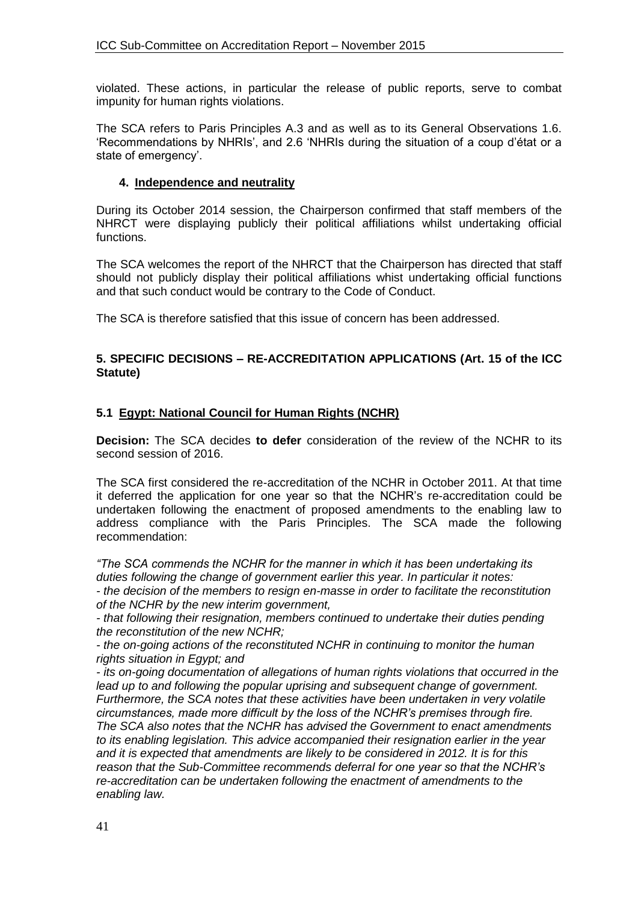violated. These actions, in particular the release of public reports, serve to combat impunity for human rights violations.

The SCA refers to Paris Principles A.3 and as well as to its General Observations 1.6. 'Recommendations by NHRIs', and 2.6 'NHRIs during the situation of a coup d'état or a state of emergency'.

### **4. Independence and neutrality**

During its October 2014 session, the Chairperson confirmed that staff members of the NHRCT were displaying publicly their political affiliations whilst undertaking official functions.

The SCA welcomes the report of the NHRCT that the Chairperson has directed that staff should not publicly display their political affiliations whist undertaking official functions and that such conduct would be contrary to the Code of Conduct.

The SCA is therefore satisfied that this issue of concern has been addressed.

#### **5. SPECIFIC DECISIONS – RE-ACCREDITATION APPLICATIONS (Art. 15 of the ICC Statute)**

## **5.1 Egypt: National Council for Human Rights (NCHR)**

**Decision:** The SCA decides **to defer** consideration of the review of the NCHR to its second session of 2016.

The SCA first considered the re-accreditation of the NCHR in October 2011. At that time it deferred the application for one year so that the NCHR's re-accreditation could be undertaken following the enactment of proposed amendments to the enabling law to address compliance with the Paris Principles. The SCA made the following recommendation:

*"The SCA commends the NCHR for the manner in which it has been undertaking its duties following the change of government earlier this year. In particular it notes:* 

*- the decision of the members to resign en-masse in order to facilitate the reconstitution of the NCHR by the new interim government,* 

*- that following their resignation, members continued to undertake their duties pending the reconstitution of the new NCHR;* 

*- the on-going actions of the reconstituted NCHR in continuing to monitor the human rights situation in Egypt; and* 

*- its on-going documentation of allegations of human rights violations that occurred in the lead up to and following the popular uprising and subsequent change of government. Furthermore, the SCA notes that these activities have been undertaken in very volatile circumstances, made more difficult by the loss of the NCHR's premises through fire. The SCA also notes that the NCHR has advised the Government to enact amendments to its enabling legislation. This advice accompanied their resignation earlier in the year and it is expected that amendments are likely to be considered in 2012. It is for this reason that the Sub-Committee recommends deferral for one year so that the NCHR's re-accreditation can be undertaken following the enactment of amendments to the enabling law.*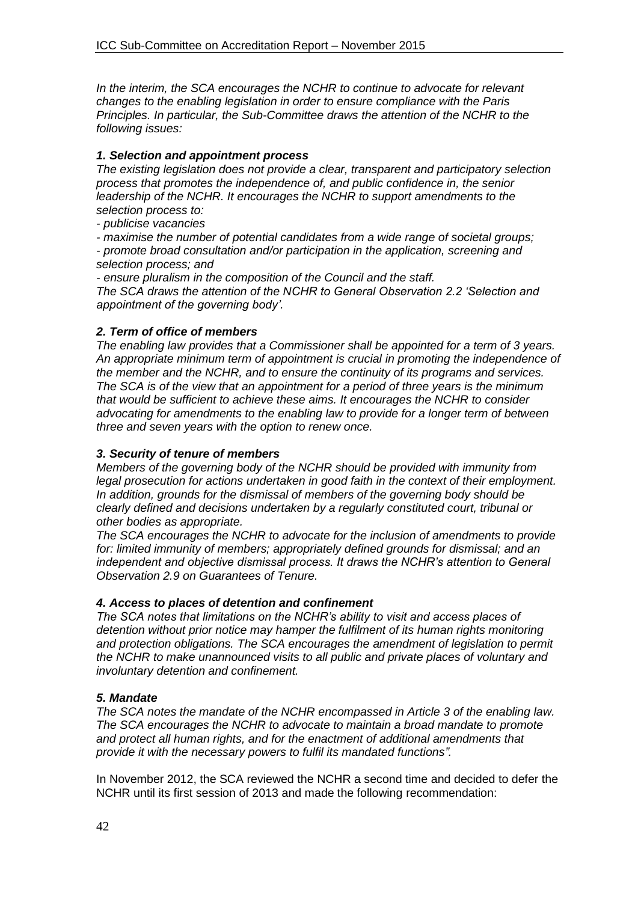*In the interim, the SCA encourages the NCHR to continue to advocate for relevant changes to the enabling legislation in order to ensure compliance with the Paris Principles. In particular, the Sub-Committee draws the attention of the NCHR to the following issues:* 

## *1. Selection and appointment process*

*The existing legislation does not provide a clear, transparent and participatory selection process that promotes the independence of, and public confidence in, the senior leadership of the NCHR. It encourages the NCHR to support amendments to the selection process to:* 

*- publicise vacancies* 

*- maximise the number of potential candidates from a wide range of societal groups;* 

*- promote broad consultation and/or participation in the application, screening and selection process; and* 

*- ensure pluralism in the composition of the Council and the staff.* 

*The SCA draws the attention of the NCHR to General Observation 2.2 'Selection and appointment of the governing body'.* 

## *2. Term of office of members*

*The enabling law provides that a Commissioner shall be appointed for a term of 3 years. An appropriate minimum term of appointment is crucial in promoting the independence of the member and the NCHR, and to ensure the continuity of its programs and services. The SCA is of the view that an appointment for a period of three years is the minimum that would be sufficient to achieve these aims. It encourages the NCHR to consider advocating for amendments to the enabling law to provide for a longer term of between three and seven years with the option to renew once.* 

## *3. Security of tenure of members*

*Members of the governing body of the NCHR should be provided with immunity from legal prosecution for actions undertaken in good faith in the context of their employment. In addition, grounds for the dismissal of members of the governing body should be clearly defined and decisions undertaken by a regularly constituted court, tribunal or other bodies as appropriate.* 

*The SCA encourages the NCHR to advocate for the inclusion of amendments to provide for: limited immunity of members; appropriately defined grounds for dismissal; and an independent and objective dismissal process. It draws the NCHR's attention to General Observation 2.9 on Guarantees of Tenure.* 

## *4. Access to places of detention and confinement*

*The SCA notes that limitations on the NCHR's ability to visit and access places of detention without prior notice may hamper the fulfilment of its human rights monitoring and protection obligations. The SCA encourages the amendment of legislation to permit the NCHR to make unannounced visits to all public and private places of voluntary and involuntary detention and confinement.* 

## *5. Mandate*

*The SCA notes the mandate of the NCHR encompassed in Article 3 of the enabling law. The SCA encourages the NCHR to advocate to maintain a broad mandate to promote and protect all human rights, and for the enactment of additional amendments that provide it with the necessary powers to fulfil its mandated functions".* 

In November 2012, the SCA reviewed the NCHR a second time and decided to defer the NCHR until its first session of 2013 and made the following recommendation: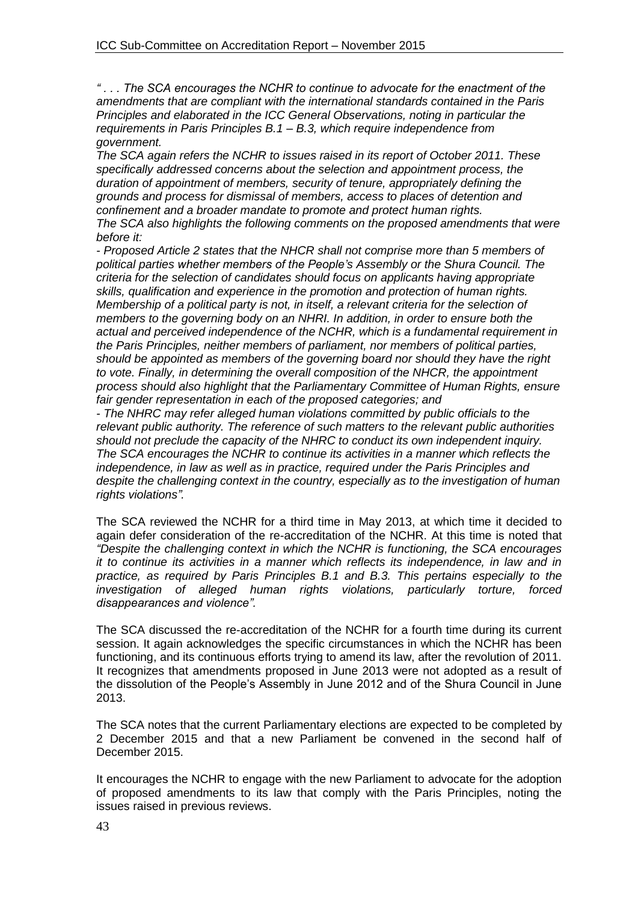*" . . . The SCA encourages the NCHR to continue to advocate for the enactment of the amendments that are compliant with the international standards contained in the Paris Principles and elaborated in the ICC General Observations, noting in particular the requirements in Paris Principles B.1 – B.3, which require independence from government.* 

*The SCA again refers the NCHR to issues raised in its report of October 2011. These specifically addressed concerns about the selection and appointment process, the duration of appointment of members, security of tenure, appropriately defining the grounds and process for dismissal of members, access to places of detention and confinement and a broader mandate to promote and protect human rights.* 

*The SCA also highlights the following comments on the proposed amendments that were before it:* 

*- Proposed Article 2 states that the NHCR shall not comprise more than 5 members of political parties whether members of the People's Assembly or the Shura Council. The criteria for the selection of candidates should focus on applicants having appropriate skills, qualification and experience in the promotion and protection of human rights. Membership of a political party is not, in itself, a relevant criteria for the selection of members to the governing body on an NHRI. In addition, in order to ensure both the actual and perceived independence of the NCHR, which is a fundamental requirement in the Paris Principles, neither members of parliament, nor members of political parties, should be appointed as members of the governing board nor should they have the right to vote. Finally, in determining the overall composition of the NHCR, the appointment process should also highlight that the Parliamentary Committee of Human Rights, ensure fair gender representation in each of the proposed categories; and* 

*- The NHRC may refer alleged human violations committed by public officials to the relevant public authority. The reference of such matters to the relevant public authorities should not preclude the capacity of the NHRC to conduct its own independent inquiry. The SCA encourages the NCHR to continue its activities in a manner which reflects the independence, in law as well as in practice, required under the Paris Principles and despite the challenging context in the country, especially as to the investigation of human rights violations".* 

The SCA reviewed the NCHR for a third time in May 2013, at which time it decided to again defer consideration of the re-accreditation of the NCHR. At this time is noted that *"Despite the challenging context in which the NCHR is functioning, the SCA encourages it to continue its activities in a manner which reflects its independence, in law and in practice, as required by Paris Principles B.1 and B.3. This pertains especially to the investigation of alleged human rights violations, particularly torture, forced disappearances and violence".*

The SCA discussed the re-accreditation of the NCHR for a fourth time during its current session. It again acknowledges the specific circumstances in which the NCHR has been functioning, and its continuous efforts trying to amend its law, after the revolution of 2011. It recognizes that amendments proposed in June 2013 were not adopted as a result of the dissolution of the People's Assembly in June 2012 and of the Shura Council in June 2013.

The SCA notes that the current Parliamentary elections are expected to be completed by 2 December 2015 and that a new Parliament be convened in the second half of December 2015.

It encourages the NCHR to engage with the new Parliament to advocate for the adoption of proposed amendments to its law that comply with the Paris Principles, noting the issues raised in previous reviews.